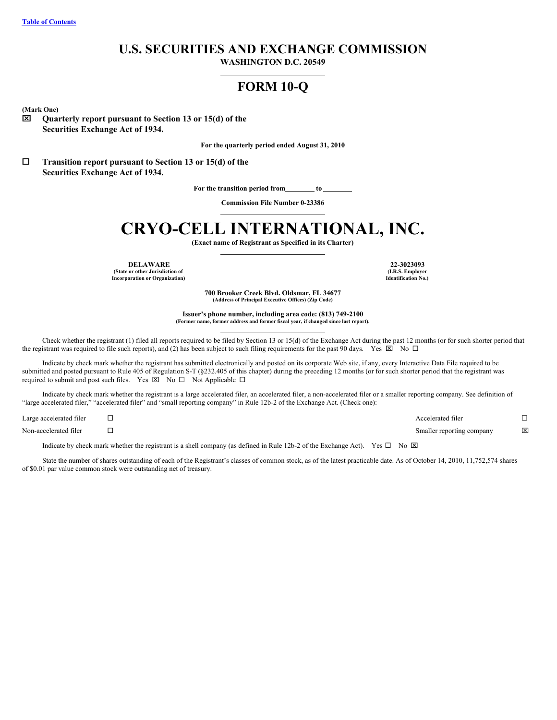# **U.S. SECURITIES AND EXCHANGE COMMISSION**

**WASHINGTON D.C. 20549**

# **FORM 10-Q**

**(Mark One)**

x **Quarterly report pursuant to Section 13 or 15(d) of the Securities Exchange Act of 1934.**

**For the quarterly period ended August 31, 2010**

¨ **Transition report pursuant to Section 13 or 15(d) of the Securities Exchange Act of 1934.**

**For the transition period from to**

**Commission File Number 0-23386**

# **CRYO-CELL INTERNATIONAL, INC.**

**(Exact name of Registrant as Specified in its Charter)**

**DELAWARE 22-3023093 (State or other Jurisdiction of Incorporation or Organization)**

**(I.R.S. Employer Identification No.)**

**700 Brooker Creek Blvd. Oldsmar, FL 34677 (Address of Principal Executive Offices) (Zip Code)**

**Issuer's phone number, including area code: (813) 749-2100 (Former name, former address and former fiscal year, if changed since last report).**

Check whether the registrant (1) filed all reports required to be filed by Section 13 or 15(d) of the Exchange Act during the past 12 months (or for such shorter period that the registrant was required to file such reports), and (2) has been subject to such filing requirements for the past 90 days. Yes  $\boxtimes$  No  $\Box$ 

Indicate by check mark whether the registrant has submitted electronically and posted on its corporate Web site, if any, every Interactive Data File required to be submitted and posted pursuant to Rule 405 of Regulation S-T (§232.405 of this chapter) during the preceding 12 months (or for such shorter period that the registrant was required to submit and post such files. Yes  $\boxtimes$  No  $\square$  Not Applicable  $\square$ 

Indicate by check mark whether the registrant is a large accelerated filer, an accelerated filer, a non-accelerated filer or a smaller reporting company. See definition of "large accelerated filer," "accelerated filer" and "small reporting company" in Rule 12b-2 of the Exchange Act. (Check one):

| Large accelerated filer | Accelerated filer         |                         |
|-------------------------|---------------------------|-------------------------|
| Non-accelerated filer   | Smaller reporting company | $\overline{\mathbf{x}}$ |

Indicate by check mark whether the registrant is a shell company (as defined in Rule 12b-2 of the Exchange Act). Yes  $\Box$  No  $\boxtimes$ 

State the number of shares outstanding of each of the Registrant's classes of common stock, as of the latest practicable date. As of October 14, 2010, 11,752,574 shares of \$0.01 par value common stock were outstanding net of treasury.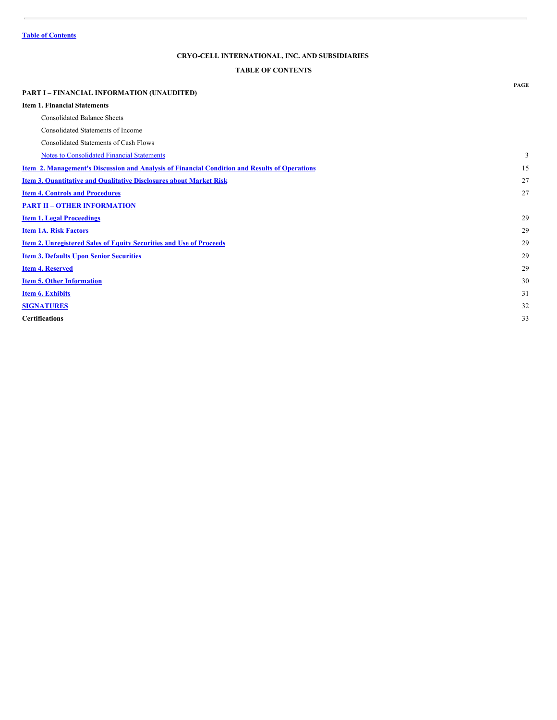# <span id="page-1-0"></span>**TABLE OF CONTENTS**

|                                                                                                      | <b>PAGE</b> |
|------------------------------------------------------------------------------------------------------|-------------|
| <b>PART I – FINANCIAL INFORMATION (UNAUDITED)</b>                                                    |             |
| <b>Item 1. Financial Statements</b>                                                                  |             |
| <b>Consolidated Balance Sheets</b>                                                                   |             |
| Consolidated Statements of Income                                                                    |             |
| Consolidated Statements of Cash Flows                                                                |             |
| <b>Notes to Consolidated Financial Statements</b>                                                    | 3           |
| <u>Item 2. Management's Discussion and Analysis of Financial Condition and Results of Operations</u> | 15          |
| <b>Item 3. Quantitative and Qualitative Disclosures about Market Risk</b>                            | 27          |
| <b>Item 4. Controls and Procedures</b>                                                               | 27          |
| <b>PART II - OTHER INFORMATION</b>                                                                   |             |
| <b>Item 1. Legal Proceedings</b>                                                                     | 29          |
| <b>Item 1A. Risk Factors</b>                                                                         | 29          |
| <b>Item 2. Unregistered Sales of Equity Securities and Use of Proceeds</b>                           | 29          |
| <b>Item 3. Defaults Upon Senior Securities</b>                                                       | 29          |
| <b>Item 4. Reserved</b>                                                                              | 29          |
| <b>Item 5. Other Information</b>                                                                     | 30          |
| <b>Item 6. Exhibits</b>                                                                              | 31          |
| <b>SIGNATURES</b>                                                                                    | 32          |
| <b>Certifications</b>                                                                                | 33          |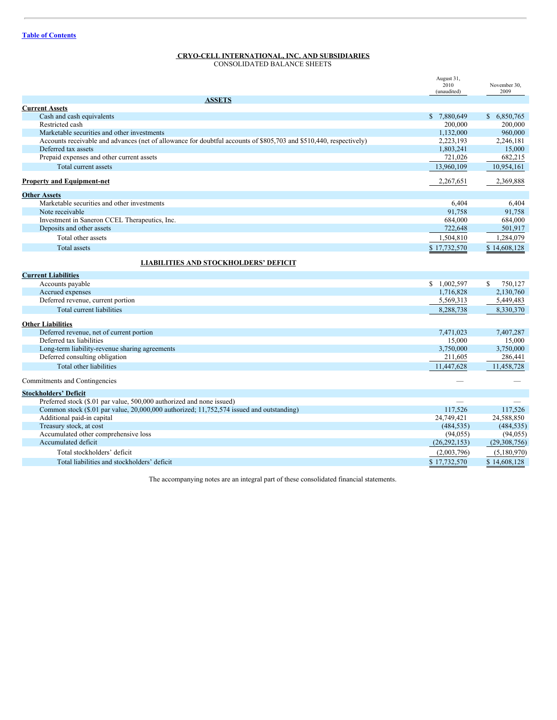CONSOLIDATED BALANCE SHEETS

|                                                                                                                    | August 31,          |                      |
|--------------------------------------------------------------------------------------------------------------------|---------------------|----------------------|
|                                                                                                                    | 2010<br>(unaudited) | November 30.<br>2009 |
| <b>ASSETS</b>                                                                                                      |                     |                      |
| <b>Current Assets</b>                                                                                              |                     |                      |
| Cash and cash equivalents                                                                                          | \$7,880,649         | \$6,850,765          |
| Restricted cash                                                                                                    | 200,000             | 200,000              |
| Marketable securities and other investments                                                                        | 1,132,000           | 960,000              |
| Accounts receivable and advances (net of allowance for doubtful accounts of \$805,703 and \$510,440, respectively) | 2,223,193           | 2,246,181            |
| Deferred tax assets                                                                                                | 1,803,241           | 15,000               |
| Prepaid expenses and other current assets                                                                          | 721,026             | 682,215              |
| Total current assets                                                                                               | 13,960,109          | 10,954,161           |
| <b>Property and Equipment-net</b>                                                                                  | 2,267,651           | 2,369,888            |
| <b>Other Assets</b>                                                                                                |                     |                      |
| Marketable securities and other investments                                                                        | 6,404               | 6,404                |
| Note receivable                                                                                                    | 91,758              | 91,758               |
| Investment in Saneron CCEL Therapeutics, Inc.                                                                      | 684,000             | 684,000              |
| Deposits and other assets                                                                                          | 722,648             | 501,917              |
| Total other assets                                                                                                 | 1,504,810           | 1,284,079            |
| <b>Total assets</b>                                                                                                | \$17,732,570        | \$14,608,128         |
| <b>LIABILITIES AND STOCKHOLDERS' DEFICIT</b>                                                                       |                     |                      |
| <b>Current Liabilities</b>                                                                                         |                     |                      |
| Accounts payable                                                                                                   | \$1,002,597         | 750.127<br>S.        |
| Accrued expenses                                                                                                   | 1,716,828           | 2,130,760            |
| Deferred revenue, current portion                                                                                  | 5,569,313           | 5,449,483            |
| Total current liabilities                                                                                          | 8,288,738           | 8,330,370            |
| <b>Other Liabilities</b>                                                                                           |                     |                      |
| Deferred revenue, net of current portion                                                                           | 7,471,023           | 7,407,287            |
| Deferred tax liabilities                                                                                           | 15,000              | 15,000               |
| Long-term liability-revenue sharing agreements                                                                     | 3,750,000           | 3,750,000            |
| Deferred consulting obligation                                                                                     | 211,605             | 286,441              |
| Total other liabilities                                                                                            | 11,447,628          | 11,458,728           |
|                                                                                                                    |                     |                      |
| Commitments and Contingencies                                                                                      |                     |                      |
| <b>Stockholders' Deficit</b>                                                                                       |                     |                      |
| Preferred stock (\$.01 par value, 500,000 authorized and none issued)                                              |                     |                      |
| Common stock (\$.01 par value, 20,000,000 authorized; 11,752,574 issued and outstanding)                           | 117,526             | 117,526              |
| Additional paid-in capital                                                                                         | 24,749,421          | 24,588,850           |
| Treasury stock, at cost                                                                                            | (484, 535)          | (484, 535)           |
| Accumulated other comprehensive loss                                                                               | (94, 055)           | (94, 055)            |
| Accumulated deficit                                                                                                | (26, 292, 153)      | (29,308,756)         |
| Total stockholders' deficit                                                                                        | (2,003,796)         | (5,180,970)          |
| Total liabilities and stockholders' deficit                                                                        | \$17,732,570        | \$14,608,128         |
|                                                                                                                    |                     |                      |

The accompanying notes are an integral part of these consolidated financial statements.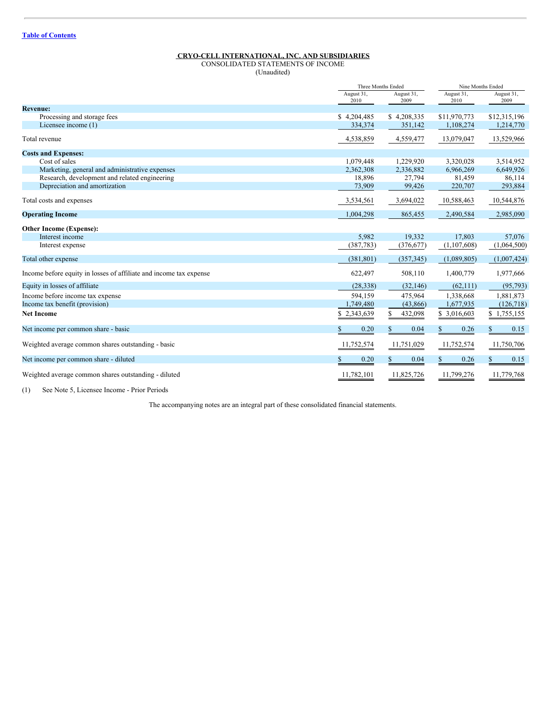CONSOLIDATED STATEMENTS OF INCOME (Unaudited)

|                                                                    | Three Months Ended |               | Nine Months Ended |                      |
|--------------------------------------------------------------------|--------------------|---------------|-------------------|----------------------|
|                                                                    | August 31,         | August 31,    | August 31,        | August 31,           |
|                                                                    | 2010               | 2009          | 2010              | 2009                 |
| <b>Revenue:</b><br>Processing and storage fees                     | \$4,204,485        | \$4,208,335   | \$11,970,773      | \$12,315,196         |
| Licensee income $(1)$                                              | 334,374            | 351,142       | 1,108,274         | 1,214,770            |
|                                                                    |                    |               |                   |                      |
| Total revenue                                                      | 4,538,859          | 4,559,477     | 13,079,047        | 13,529,966           |
| <b>Costs and Expenses:</b>                                         |                    |               |                   |                      |
| Cost of sales                                                      | 1,079,448          | 1,229,920     | 3,320,028         | 3,514,952            |
| Marketing, general and administrative expenses                     | 2,362,308          | 2,336,882     | 6,966,269         | 6,649,926            |
| Research, development and related engineering                      | 18,896             | 27,794        | 81,459            | 86,114               |
| Depreciation and amortization                                      | 73,909             | 99,426        | 220,707           | 293,884              |
| Total costs and expenses                                           | 3,534,561          | 3,694,022     | 10,588,463        | 10,544,876           |
| <b>Operating Income</b>                                            | 1,004,298          | 865,455       | 2,490,584         | 2,985,090            |
| <b>Other Income (Expense):</b>                                     |                    |               |                   |                      |
| Interest income                                                    | 5,982              | 19,332        | 17,803            | 57,076               |
| Interest expense                                                   | (387, 783)         | (376, 677)    | (1,107,608)       | (1,064,500)          |
| Total other expense                                                | (381, 801)         | (357, 345)    | (1,089,805)       | (1,007,424)          |
| Income before equity in losses of affiliate and income tax expense | 622,497            | 508,110       | 1,400,779         | 1,977,666            |
| Equity in losses of affiliate                                      | (28, 338)          | (32, 146)     | (62, 111)         | (95, 793)            |
| Income before income tax expense                                   | 594,159            | 475,964       | 1,338,668         | 1,881,873            |
| Income tax benefit (provision)                                     | 1,749,480          | (43, 866)     | 1,677,935         | (126, 718)           |
| <b>Net Income</b>                                                  | \$2,343,639        | \$<br>432,098 | \$ 3,016,603      | \$1,755,155          |
| Net income per common share - basic                                | 0.20               | \$<br>0.04    | 0.26              | $\mathbf{s}$<br>0.15 |
| Weighted average common shares outstanding - basic                 | 11,752,574         | 11,751,029    | 11,752,574        | 11,750,706           |
| Net income per common share - diluted                              | 0.20               | 0.04          | 0.26              | 0.15                 |
| Weighted average common shares outstanding - diluted               | 11,782,101         | 11,825,726    | 11,799,276        | 11,779,768           |

(1) See Note 5, Licensee Income - Prior Periods

The accompanying notes are an integral part of these consolidated financial statements.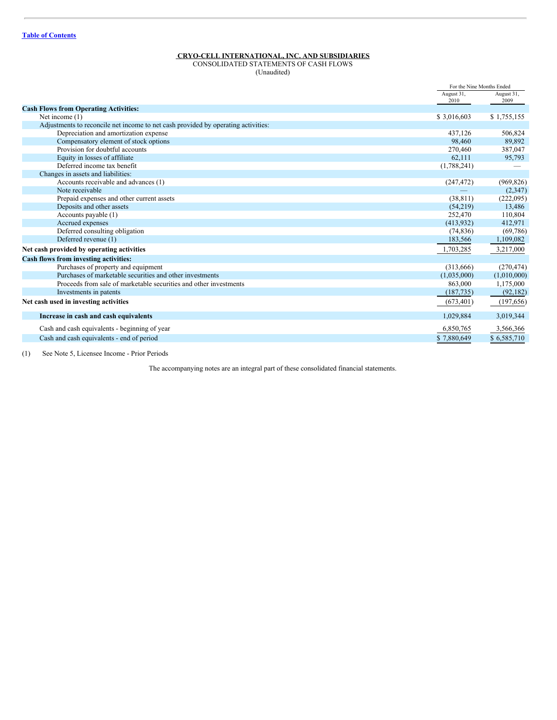CONSOLIDATED STATEMENTS OF CASH FLOWS (Unaudited)

|                                                                                   | For the Nine Months Ended |                    |
|-----------------------------------------------------------------------------------|---------------------------|--------------------|
|                                                                                   | August 31,<br>2010        | August 31,<br>2009 |
| <b>Cash Flows from Operating Activities:</b>                                      |                           |                    |
| Net income $(1)$                                                                  | \$3,016,603               | \$1,755,155        |
| Adjustments to reconcile net income to net cash provided by operating activities: |                           |                    |
| Depreciation and amortization expense                                             | 437,126                   | 506,824            |
| Compensatory element of stock options                                             | 98,460                    | 89,892             |
| Provision for doubtful accounts                                                   | 270,460                   | 387,047            |
| Equity in losses of affiliate                                                     | 62,111                    | 95,793             |
| Deferred income tax benefit                                                       | (1,788,241)               |                    |
| Changes in assets and liabilities:                                                |                           |                    |
| Accounts receivable and advances (1)                                              | (247, 472)                | (969, 826)         |
| Note receivable                                                                   |                           | (2,347)            |
| Prepaid expenses and other current assets                                         | (38, 811)                 | (222,095)          |
| Deposits and other assets                                                         | (54,219)                  | 13,486             |
| Accounts payable (1)                                                              | 252,470                   | 110,804            |
| Accrued expenses                                                                  | (413,932)                 | 412,971            |
| Deferred consulting obligation                                                    | (74, 836)                 | (69, 786)          |
| Deferred revenue (1)                                                              | 183,566                   | 1,109,082          |
| Net cash provided by operating activities                                         | 1,703,285                 | 3,217,000          |
| Cash flows from investing activities:                                             |                           |                    |
| Purchases of property and equipment                                               | (313,666)                 | (270, 474)         |
| Purchases of marketable securities and other investments                          | (1,035,000)               | (1,010,000)        |
| Proceeds from sale of marketable securities and other investments                 | 863,000                   | 1,175,000          |
| Investments in patents                                                            | (187, 735)                | (92, 182)          |
| Net cash used in investing activities                                             | (673, 401)                | (197, 656)         |
| Increase in cash and cash equivalents                                             | 1,029,884                 | 3,019,344          |
| Cash and cash equivalents - beginning of year                                     | 6,850,765                 | 3,566,366          |
| Cash and cash equivalents - end of period                                         | \$7,880,649               | \$6,585,710        |

(1) See Note 5, Licensee Income - Prior Periods

The accompanying notes are an integral part of these consolidated financial statements.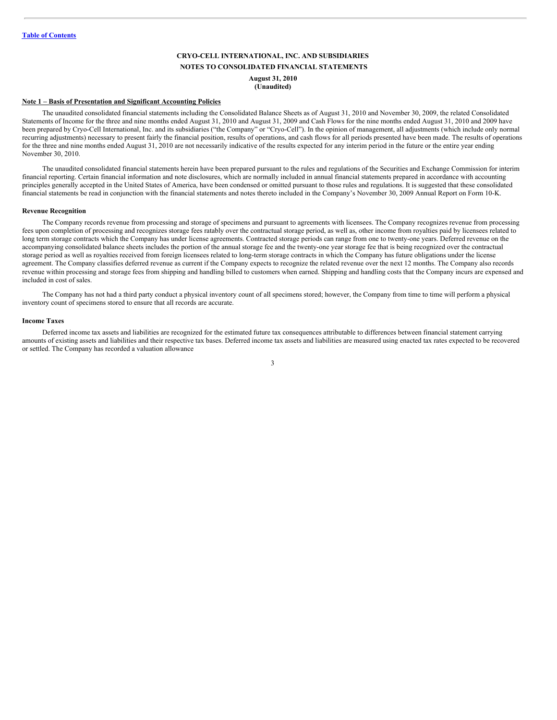# <span id="page-5-0"></span>**NOTES TO CONSOLIDATED FINANCIAL STATEMENTS**

**August 31, 2010 (Unaudited)**

# **Note 1 – Basis of Presentation and Significant Accounting Policies**

The unaudited consolidated financial statements including the Consolidated Balance Sheets as of August 31, 2010 and November 30, 2009, the related Consolidated Statements of Income for the three and nine months ended August 31, 2010 and August 31, 2009 and Cash Flows for the nine months ended August 31, 2010 and 2009 have been prepared by Cryo-Cell International, Inc. and its subsidiaries ("the Company" or "Cryo-Cell"). In the opinion of management, all adjustments (which include only normal recurring adjustments) necessary to present fairly the financial position, results of operations, and cash flows for all periods presented have been made. The results of operations for the three and nine months ended August 31, 2010 are not necessarily indicative of the results expected for any interim period in the future or the entire year ending November 30, 2010.

The unaudited consolidated financial statements herein have been prepared pursuant to the rules and regulations of the Securities and Exchange Commission for interim financial reporting. Certain financial information and note disclosures, which are normally included in annual financial statements prepared in accordance with accounting principles generally accepted in the United States of America, have been condensed or omitted pursuant to those rules and regulations. It is suggested that these consolidated financial statements be read in conjunction with the financial statements and notes thereto included in the Company's November 30, 2009 Annual Report on Form 10-K.

#### **Revenue Recognition**

The Company records revenue from processing and storage of specimens and pursuant to agreements with licensees. The Company recognizes revenue from processing fees upon completion of processing and recognizes storage fees ratably over the contractual storage period, as well as, other income from royalties paid by licensees related to long term storage contracts which the Company has under license agreements. Contracted storage periods can range from one to twenty-one years. Deferred revenue on the accompanying consolidated balance sheets includes the portion of the annual storage fee and the twenty-one year storage fee that is being recognized over the contractual storage period as well as royalties received from foreign licensees related to long-term storage contracts in which the Company has future obligations under the license agreement. The Company classifies deferred revenue as current if the Company expects to recognize the related revenue over the next 12 months. The Company also records revenue within processing and storage fees from shipping and handling billed to customers when earned. Shipping and handling costs that the Company incurs are expensed and included in cost of sales.

The Company has not had a third party conduct a physical inventory count of all specimens stored; however, the Company from time to time will perform a physical inventory count of specimens stored to ensure that all records are accurate.

#### **Income Taxes**

Deferred income tax assets and liabilities are recognized for the estimated future tax consequences attributable to differences between financial statement carrying amounts of existing assets and liabilities and their respective tax bases. Deferred income tax assets and liabilities are measured using enacted tax rates expected to be recovered or settled. The Company has recorded a valuation allowance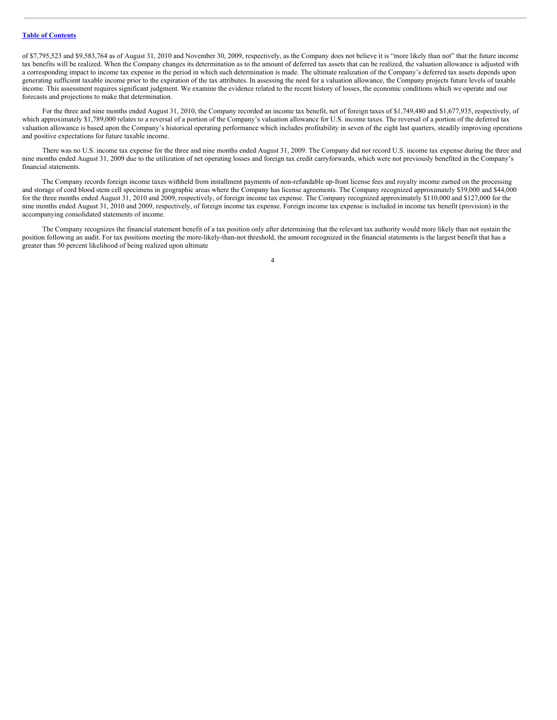of \$7,795,523 and \$9,583,764 as of August 31, 2010 and November 30, 2009, respectively, as the Company does not believe it is "more likely than not" that the future income tax benefits will be realized. When the Company changes its determination as to the amount of deferred tax assets that can be realized, the valuation allowance is adjusted with a corresponding impact to income tax expense in the period in which such determination is made. The ultimate realization of the Company's deferred tax assets depends upon generating sufficient taxable income prior to the expiration of the tax attributes. In assessing the need for a valuation allowance, the Company projects future levels of taxable income. This assessment requires significant judgment. We examine the evidence related to the recent history of losses, the economic conditions which we operate and our forecasts and projections to make that determination.

For the three and nine months ended August 31, 2010, the Company recorded an income tax benefit, net of foreign taxes of \$1,749,480 and \$1,677,935, respectively, of which approximately \$1,789,000 relates to a reversal of a portion of the Company's valuation allowance for U.S. income taxes. The reversal of a portion of the deferred tax valuation allowance is based upon the Company's historical operating performance which includes profitability in seven of the eight last quarters, steadily improving operations and positive expectations for future taxable income.

There was no U.S. income tax expense for the three and nine months ended August 31, 2009. The Company did not record U.S. income tax expense during the three and nine months ended August 31, 2009 due to the utilization of net operating losses and foreign tax credit carryforwards, which were not previously benefited in the Company's financial statements.

The Company records foreign income taxes withheld from installment payments of non-refundable up-front license fees and royalty income earned on the processing and storage of cord blood stem cell specimens in geographic areas where the Company has license agreements. The Company recognized approximately \$39,000 and \$44,000 for the three months ended August 31, 2010 and 2009, respectively, of foreign income tax expense. The Company recognized approximately \$110,000 and \$127,000 for the nine months ended August 31, 2010 and 2009, respectively, of foreign income tax expense. Foreign income tax expense is included in income tax benefit (provision) in the accompanying consolidated statements of income.

The Company recognizes the financial statement benefit of a tax position only after determining that the relevant tax authority would more likely than not sustain the position following an audit. For tax positions meeting the more-likely-than-not threshold, the amount recognized in the financial statements is the largest benefit that has a greater than 50 percent likelihood of being realized upon ultimate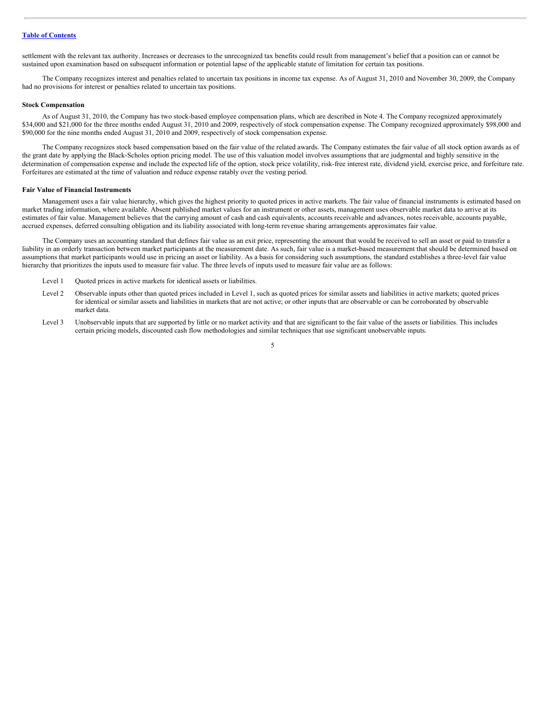settlement with the relevant tax authority. Increases or decreases to the unrecognized tax benefits could result from management's belief that a position can or cannot be sustained upon examination based on subsequent information or potential lapse of the applicable statute of limitation for certain tax positions.

The Company recognizes interest and penalties related to uncertain tax positions in income tax expense. As of August 31, 2010 and November 30, 2009, the Company had no provisions for interest or penalties related to uncertain tax positions.

#### **Stock Compensation**

As of August 31, 2010, the Company has two stock-based employee compensation plans, which are described in Note 4. The Company recognized approximately \$34,000 and \$21,000 for the three months ended August 31, 2010 and 2009, respectively of stock compensation expense. The Company recognized approximately \$98,000 and \$90,000 for the nine months ended August 31, 2010 and 2009, respectively of stock compensation expense.

The Company recognizes stock based compensation based on the fair value of the related awards. The Company estimates the fair value of all stock option awards as of the grant date by applying the Black-Scholes option pricing model. The use of this valuation model involves assumptions that are judgmental and highly sensitive in the determination of compensation expense and include the expected life of the option, stock price volatility, risk-free interest rate, dividend yield, exercise price, and forfeiture rate. Forfeitures are estimated at the time of valuation and reduce expense ratably over the vesting period.

#### **Fair Value of Financial Instruments**

Management uses a fair value hierarchy, which gives the highest priority to quoted prices in active markets. The fair value of financial instruments is estimated based on market trading information, where available. Absent published market values for an instrument or other assets, management uses observable market data to arrive at its estimates of fair value. Management believes that the carrying amount of cash and cash equivalents, accounts receivable and advances, notes receivable, accounts payable, accrued expenses, deferred consulting obligation and its liability associated with long-term revenue sharing arrangements approximates fair value.

The Company uses an accounting standard that defines fair value as an exit price, representing the amount that would be received to sell an asset or paid to transfer a liability in an orderly transaction between market participants at the measurement date. As such, fair value is a market-based measurement that should be determined based on assumptions that market participants would use in pricing an asset or liability. As a basis for considering such assumptions, the standard establishes a three-level fair value hierarchy that prioritizes the inputs used to measure fair value. The three levels of inputs used to measure fair value are as follows:

- Level 1 Quoted prices in active markets for identical assets or liabilities.
- Level 2 Observable inputs other than quoted prices included in Level 1, such as quoted prices for similar assets and liabilities in active markets; quoted prices for identical or similar assets and liabilities in markets that are not active; or other inputs that are observable or can be corroborated by observable market data.
- Level 3 Unobservable inputs that are supported by little or no market activity and that are significant to the fair value of the assets or liabilities. This includes certain pricing models, discounted cash flow methodologies and similar techniques that use significant unobservable inputs.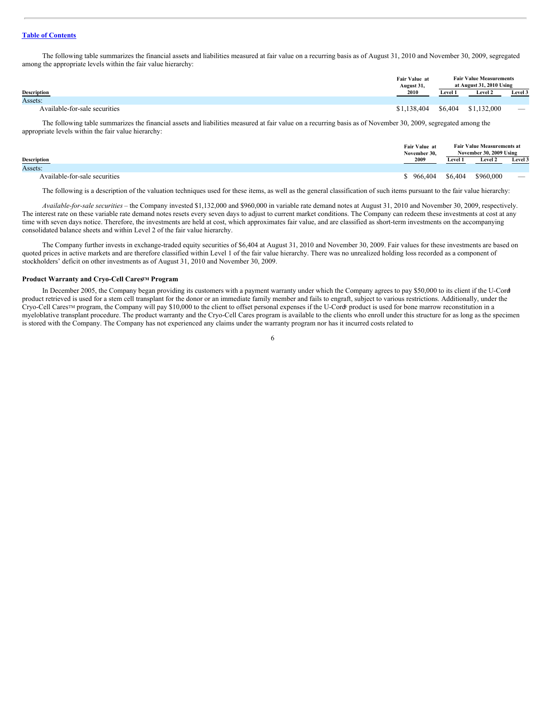The following table summarizes the financial assets and liabilities measured at fair value on a recurring basis as of August 31, 2010 and November 30, 2009, segregated among the appropriate levels within the fair value hierarchy:

|                               | <b>Fair Value Measurements</b><br>Fair Value at |                |                          |                          |
|-------------------------------|-------------------------------------------------|----------------|--------------------------|--------------------------|
|                               | August 31,                                      |                | at August 31, 2010 Using |                          |
| <b>Description</b>            | 2010                                            | <b>Level</b> 1 | Level 2                  | Level 3                  |
| Assets:                       |                                                 |                |                          |                          |
| Available-for-sale securities | \$1,138,404                                     | \$6,404        | \$1,132,000              | $\overline{\phantom{a}}$ |

The following table summarizes the financial assets and liabilities measured at fair value on a recurring basis as of November 30, 2009, segregated among the appropriate levels within the fair value hierarchy:

|                               | Fair Value at | <b>Fair Value Measurements at</b> |                         |                |
|-------------------------------|---------------|-----------------------------------|-------------------------|----------------|
|                               | November 30.  |                                   | November 30, 2009 Using |                |
| <b>Description</b>            | 2009          | <b>Level 1</b>                    | <b>Level 2</b>          | <b>Level 3</b> |
| Assets:                       |               |                                   |                         |                |
| Available-for-sale securities | 966,404       | \$6,404                           | \$960,000               | $-$            |

The following is a description of the valuation techniques used for these items, as well as the general classification of such items pursuant to the fair value hierarchy:

*Available-for-sale securities* – the Company invested \$1,132,000 and \$960,000 in variable rate demand notes at August 31, 2010 and November 30, 2009, respectively. The interest rate on these variable rate demand notes resets every seven days to adjust to current market conditions. The Company can redeem these investments at cost at any time with seven days notice. Therefore, the investments are held at cost, which approximates fair value, and are classified as short-term investments on the accompanying consolidated balance sheets and within Level 2 of the fair value hierarchy.

The Company further invests in exchange-traded equity securities of \$6,404 at August 31, 2010 and November 30, 2009. Fair values for these investments are based on quoted prices in active markets and are therefore classified within Level 1 of the fair value hierarchy. There was no unrealized holding loss recorded as a component of stockholders' deficit on other investments as of August 31, 2010 and November 30, 2009.

#### **Product Warranty and Cryo-Cell Cares<sup>TM</sup> Program**

In December 2005, the Company began providing its customers with a payment warranty under which the Company agrees to pay \$50,000 to its client if the U-Cord ® product retrieved is used for a stem cell transplant for the donor or an immediate family member and fails to engraft, subject to various restrictions. Additionally, under the Cryo-Cell Cares™ program, the Company will pay \$10,000 to the client to offset personal expenses if the U-Cord® product is used for bone marrow reconstitution in a myeloblative transplant procedure. The product warranty and the Cryo-Cell Cares program is available to the clients who enroll under this structure for as long as the specimen is stored with the Company. The Company has not experienced any claims under the warranty program nor has it incurred costs related to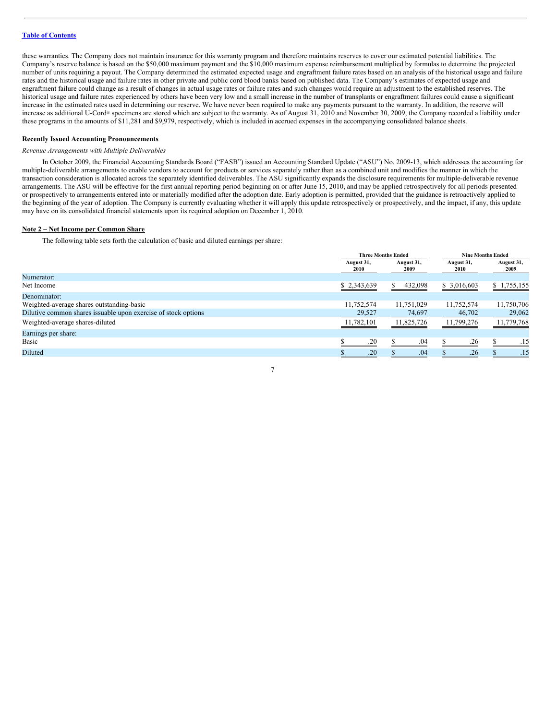these warranties. The Company does not maintain insurance for this warranty program and therefore maintains reserves to cover our estimated potential liabilities. The Company's reserve balance is based on the \$50,000 maximum payment and the \$10,000 maximum expense reimbursement multiplied by formulas to determine the projected number of units requiring a payout. The Company determined the estimated expected usage and engraftment failure rates based on an analysis of the historical usage and failure rates and the historical usage and failure rates in other private and public cord blood banks based on published data. The Company's estimates of expected usage and engraftment failure could change as a result of changes in actual usage rates or failure rates and such changes would require an adjustment to the established reserves. The historical usage and failure rates experienced by others have been very low and a small increase in the number of transplants or engraftment failures could cause a significant increase in the estimated rates used in determining our reserve. We have never been required to make any payments pursuant to the warranty. In addition, the reserve will increase as additional U-Cord® specimens are stored which are subject to the warranty. As of August 31, 2010 and November 30, 2009, the Company recorded a liability under these programs in the amounts of \$11,281 and \$9,979, respectively, which is included in accrued expenses in the accompanying consolidated balance sheets.

# **Recently Issued Accounting Pronouncements**

#### *Revenue Arrangements with Multiple Deliverables*

In October 2009, the Financial Accounting Standards Board ("FASB") issued an Accounting Standard Update ("ASU") No. 2009-13, which addresses the accounting for multiple-deliverable arrangements to enable vendors to account for products or services separately rather than as a combined unit and modifies the manner in which the transaction consideration is allocated across the separately identified deliverables. The ASU significantly expands the disclosure requirements for multiple-deliverable revenue arrangements. The ASU will be effective for the first annual reporting period beginning on or after June 15, 2010, and may be applied retrospectively for all periods presented or prospectively to arrangements entered into or materially modified after the adoption date. Early adoption is permitted, provided that the guidance is retroactively applied to the beginning of the year of adoption. The Company is currently evaluating whether it will apply this update retrospectively or prospectively, and the impact, if any, this update may have on its consolidated financial statements upon its required adoption on December 1, 2010.

#### **Note 2 – Net Income per Common Share**

The following table sets forth the calculation of basic and diluted earnings per share:

|                                                                | <b>Three Months Ended</b> |                    | <b>Nine Months Ended</b> |                    |
|----------------------------------------------------------------|---------------------------|--------------------|--------------------------|--------------------|
|                                                                | August 31,<br>2010        | August 31,<br>2009 | August 31,<br>2010       | August 31,<br>2009 |
| Numerator:                                                     |                           |                    |                          |                    |
| Net Income                                                     | \$2,343,639               | 432,098            | \$ 3,016,603             | \$1,755,155        |
| Denominator:                                                   |                           |                    |                          |                    |
| Weighted-average shares outstanding-basic                      | 11,752,574                | 11,751,029         | 11,752,574               | 11,750,706         |
| Dilutive common shares issuable upon exercise of stock options | 29,527                    | 74,697             | 46,702                   | 29,062             |
| Weighted-average shares-diluted                                | 11,782,101                | 11,825,726         | 11,799,276               | 11,779,768         |
| Earnings per share:                                            |                           |                    |                          |                    |
| Basic                                                          | .20                       | .04                | .26                      | .15                |
| <b>Diluted</b>                                                 | .20                       | .04                | .26                      | .15                |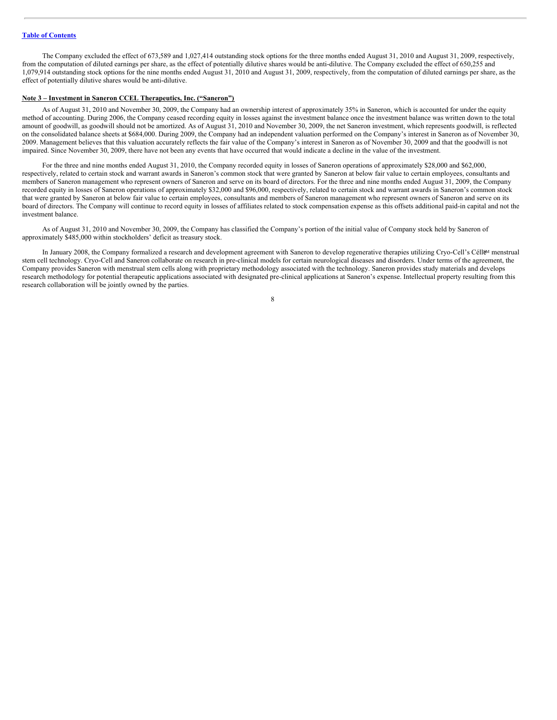The Company excluded the effect of 673,589 and 1,027,414 outstanding stock options for the three months ended August 31, 2010 and August 31, 2009, respectively, from the computation of diluted earnings per share, as the effect of potentially dilutive shares would be anti-dilutive. The Company excluded the effect of 650,255 and 1,079,914 outstanding stock options for the nine months ended August 31, 2010 and August 31, 2009, respectively, from the computation of diluted earnings per share, as the effect of potentially dilutive shares would be anti-dilutive.

#### **Note 3 – Investment in Saneron CCEL Therapeutics, Inc. ("Saneron")**

As of August 31, 2010 and November 30, 2009, the Company had an ownership interest of approximately 35% in Saneron, which is accounted for under the equity method of accounting. During 2006, the Company ceased recording equity in losses against the investment balance once the investment balance was written down to the total amount of goodwill, as goodwill should not be amortized. As of August 31, 2010 and November 30, 2009, the net Saneron investment, which represents goodwill, is reflected on the consolidated balance sheets at \$684,000. During 2009, the Company had an independent valuation performed on the Company's interest in Saneron as of November 30, 2009. Management believes that this valuation accurately reflects the fair value of the Company's interest in Saneron as of November 30, 2009 and that the goodwill is not impaired. Since November 30, 2009, there have not been any events that have occurred that would indicate a decline in the value of the investment.

For the three and nine months ended August 31, 2010, the Company recorded equity in losses of Saneron operations of approximately \$28,000 and \$62,000, respectively, related to certain stock and warrant awards in Saneron's common stock that were granted by Saneron at below fair value to certain employees, consultants and members of Saneron management who represent owners of Saneron and serve on its board of directors. For the three and nine months ended August 31, 2009, the Company recorded equity in losses of Saneron operations of approximately \$32,000 and \$96,000, respectively, related to certain stock and warrant awards in Saneron's common stock that were granted by Saneron at below fair value to certain employees, consultants and members of Saneron management who represent owners of Saneron and serve on its board of directors. The Company will continue to record equity in losses of affiliates related to stock compensation expense as this offsets additional paid-in capital and not the investment balance.

As of August 31, 2010 and November 30, 2009, the Company has classified the Company's portion of the initial value of Company stock held by Saneron of approximately \$485,000 within stockholders' deficit as treasury stock.

In January 2008, the Company formalized a research and development agreement with Saneron to develop regenerative therapies utilizing Cryo-Cell's Céll&M menstrual stem cell technology. Cryo-Cell and Saneron collaborate on research in pre-clinical models for certain neurological diseases and disorders. Under terms of the agreement, the Company provides Saneron with menstrual stem cells along with proprietary methodology associated with the technology. Saneron provides study materials and develops research methodology for potential therapeutic applications associated with designated pre-clinical applications at Saneron's expense. Intellectual property resulting from this research collaboration will be jointly owned by the parties.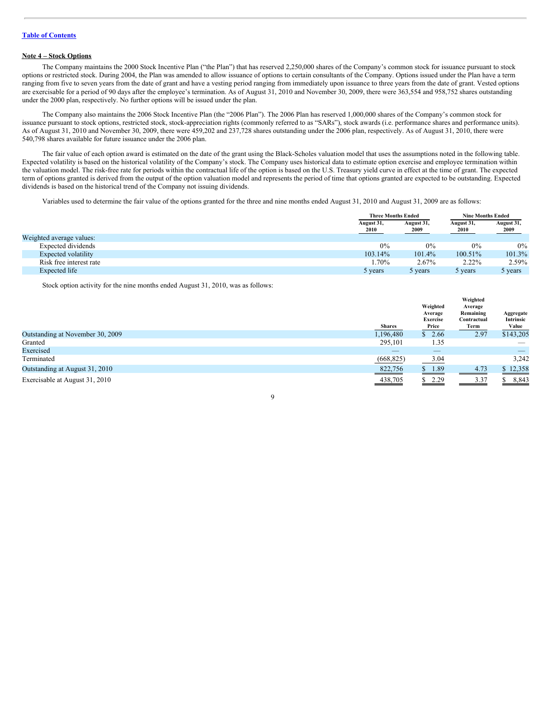# **Note 4 – Stock Options**

The Company maintains the 2000 Stock Incentive Plan ("the Plan") that has reserved 2,250,000 shares of the Company's common stock for issuance pursuant to stock options or restricted stock. During 2004, the Plan was amended to allow issuance of options to certain consultants of the Company. Options issued under the Plan have a term ranging from five to seven years from the date of grant and have a vesting period ranging from immediately upon issuance to three years from the date of grant. Vested options are exercisable for a period of 90 days after the employee's termination. As of August 31, 2010 and November 30, 2009, there were 363,554 and 958,752 shares outstanding under the 2000 plan, respectively. No further options will be issued under the plan.

The Company also maintains the 2006 Stock Incentive Plan (the "2006 Plan"). The 2006 Plan has reserved 1,000,000 shares of the Company's common stock for issuance pursuant to stock options, restricted stock, stock-appreciation rights (commonly referred to as "SARs"), stock awards (i.e. performance shares and performance units). As of August 31, 2010 and November 30, 2009, there were 459,202 and 237,728 shares outstanding under the 2006 plan, respectively. As of August 31, 2010, there were 540,798 shares available for future issuance under the 2006 plan.

The fair value of each option award is estimated on the date of the grant using the Black-Scholes valuation model that uses the assumptions noted in the following table. Expected volatility is based on the historical volatility of the Company's stock. The Company uses historical data to estimate option exercise and employee termination within the valuation model. The risk-free rate for periods within the contractual life of the option is based on the U.S. Treasury yield curve in effect at the time of grant. The expected term of options granted is derived from the output of the option valuation model and represents the period of time that options granted are expected to be outstanding. Expected dividends is based on the historical trend of the Company not issuing dividends.

Variables used to determine the fair value of the options granted for the three and nine months ended August 31, 2010 and August 31, 2009 are as follows:

|                            |                    | <b>Three Months Ended</b> |                    | <b>Nine Months Ended</b> |
|----------------------------|--------------------|---------------------------|--------------------|--------------------------|
|                            | August 31,<br>2010 | August 31,<br>2009        | August 31,<br>2010 | August 31,<br>2009       |
| Weighted average values:   |                    |                           |                    |                          |
| Expected dividends         | $0\%$              | 0%                        | 0%                 | $0\%$                    |
| <b>Expected volatility</b> | 103.14%            | 101.4%                    | 100.51%            | 101.3%                   |
| Risk free interest rate    | 1.70%              | 2.67%                     | $2.22\%$           | 2.59%                    |
| Expected life              | 5 years            | 5 years                   | 5 years            | 5 years                  |

Stock option activity for the nine months ended August 31, 2010, was as follows:

|                                  | <b>Shares</b> | Weighted<br>Average<br><b>Exercise</b><br>Price | Weighted<br>Average<br>Remaining<br>Contractual<br>Term | Aggregate<br>Intrinsic<br>Value |
|----------------------------------|---------------|-------------------------------------------------|---------------------------------------------------------|---------------------------------|
| Outstanding at November 30, 2009 | 1,196,480     | \$2.66                                          | 2.97                                                    | \$143,205                       |
| Granted                          | 295,101       | 1.35                                            |                                                         | $\overline{\phantom{a}}$        |
| Exercised                        | _             | $-$                                             |                                                         | $\qquad \qquad - \qquad$        |
| Terminated                       | (668, 825)    | 3.04                                            |                                                         | 3,242                           |
| Outstanding at August 31, 2010   | 822,756       | \$1.89                                          | 4.73                                                    | \$12,358                        |
| Exercisable at August 31, 2010   | 438,705       | \$2.29                                          | 3.37<br>$\overline{\phantom{a}}$                        | \$8,843                         |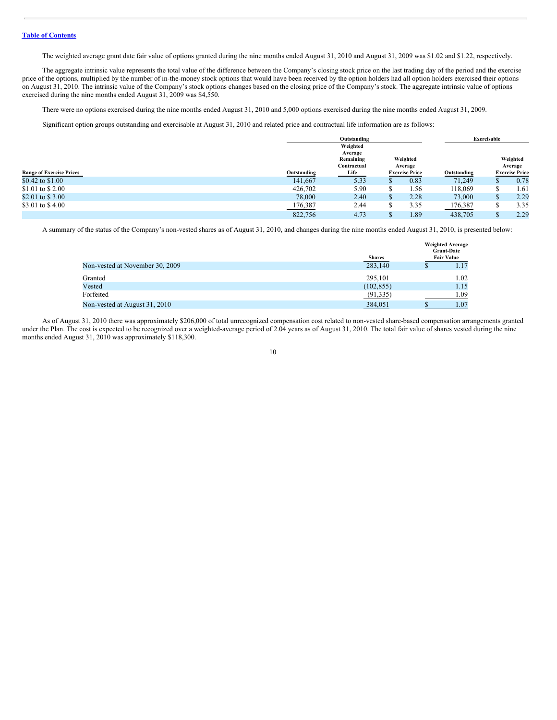The weighted average grant date fair value of options granted during the nine months ended August 31, 2010 and August 31, 2009 was \$1.02 and \$1.22, respectively.

The aggregate intrinsic value represents the total value of the difference between the Company's closing stock price on the last trading day of the period and the exercise price of the options, multiplied by the number of in-the-money stock options that would have been received by the option holders had all option holders exercised their options on August 31, 2010. The intrinsic value of the Company's stock options changes based on the closing price of the Company's stock. The aggregate intrinsic value of options exercised during the nine months ended August 31, 2009 was \$4,550.

There were no options exercised during the nine months ended August 31, 2010 and 5,000 options exercised during the nine months ended August 31, 2009.

Significant option groups outstanding and exercisable at August 31, 2010 and related price and contractual life information are as follows:

|                                 |             | Outstanding                                             |              |                                              | Exercisable |    |                                              |  |
|---------------------------------|-------------|---------------------------------------------------------|--------------|----------------------------------------------|-------------|----|----------------------------------------------|--|
| <b>Range of Exercise Prices</b> | Outstanding | Weighted<br>Average<br>Remaining<br>Contractual<br>Life |              | Weighted<br>Average<br><b>Exercise Price</b> | Outstanding |    | Weighted<br>Average<br><b>Exercise Price</b> |  |
| \$0.42 to \$1.00                | 141,667     | 5.33                                                    |              | 0.83                                         | 71.249      |    | 0.78                                         |  |
| \$1.01 to \$2.00                | 426,702     | 5.90                                                    | S.           | 1.56                                         | 118,069     |    | 1.61                                         |  |
| \$2.01 to \$3.00                | 78,000      | 2.40                                                    | <sup>S</sup> | 2.28                                         | 73,000      | \$ | 2.29                                         |  |
| \$3.01 to \$4.00                | 176,387     | 2.44                                                    | S            | 3.35                                         | 176,387     | D  | 3.35                                         |  |
|                                 | 822,756     | 4.73                                                    |              | 1.89                                         | 438,705     |    | 2.29                                         |  |

A summary of the status of the Company's non-vested shares as of August 31, 2010, and changes during the nine months ended August 31, 2010, is presented below:

|                                 | <b>Shares</b> |   | <b>Weighted Average</b><br><b>Grant-Date</b><br><b>Fair Value</b> |
|---------------------------------|---------------|---|-------------------------------------------------------------------|
| Non-vested at November 30, 2009 | 283,140       | a | 1.17                                                              |
| Granted                         | 295.101       |   | 1.02                                                              |
| Vested                          | (102, 855)    |   | 1.15                                                              |
| Forfeited                       | (91, 335)     |   | 1.09                                                              |
| Non-vested at August 31, 2010   | 384,051       |   | 1.07                                                              |

As of August 31, 2010 there was approximately \$206,000 of total unrecognized compensation cost related to non-vested share-based compensation arrangements granted under the Plan. The cost is expected to be recognized over a weighted-average period of 2.04 years as of August 31, 2010. The total fair value of shares vested during the nine months ended August 31, 2010 was approximately \$118,300.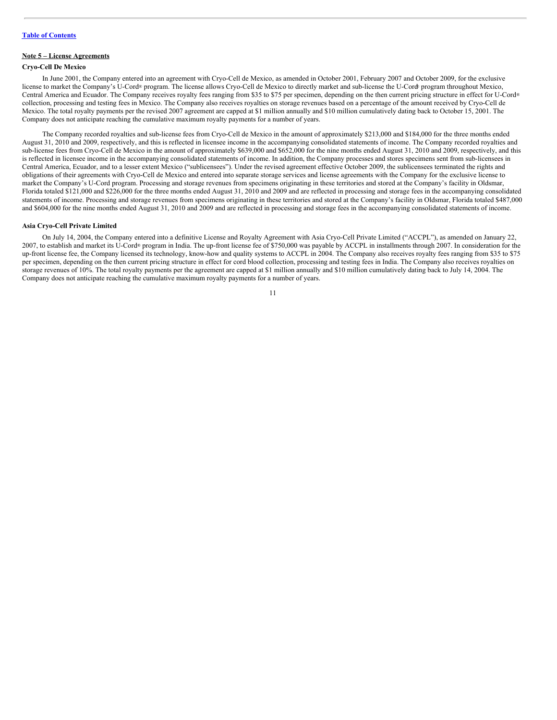# **Note 5 – License Agreements**

## **Cryo-Cell De Mexico**

In June 2001, the Company entered into an agreement with Cryo-Cell de Mexico, as amended in October 2001, February 2007 and October 2009, for the exclusive license to market the Company's U-Cord® program. The license allows Cryo-Cell de Mexico to directly market and sub-license the U-Cord® program throughout Mexico, Central America and Ecuador. The Company receives royalty fees ranging from \$35 to \$75 per specimen, depending on the then current pricing structure in effect for U-Cord ® collection, processing and testing fees in Mexico. The Company also receives royalties on storage revenues based on a percentage of the amount received by Cryo-Cell de Mexico. The total royalty payments per the revised 2007 agreement are capped at \$1 million annually and \$10 million cumulatively dating back to October 15, 2001. The Company does not anticipate reaching the cumulative maximum royalty payments for a number of years.

The Company recorded royalties and sub-license fees from Cryo-Cell de Mexico in the amount of approximately \$213,000 and \$184,000 for the three months ended August 31, 2010 and 2009, respectively, and this is reflected in licensee income in the accompanying consolidated statements of income. The Company recorded royalties and sub-license fees from Cryo-Cell de Mexico in the amount of approximately \$639,000 and \$652,000 for the nine months ended August 31, 2010 and 2009, respectively, and this is reflected in licensee income in the accompanying consolidated statements of income. In addition, the Company processes and stores specimens sent from sub-licensees in Central America, Ecuador, and to a lesser extent Mexico ("sublicensees"). Under the revised agreement effective October 2009, the sublicensees terminated the rights and obligations of their agreements with Cryo-Cell de Mexico and entered into separate storage services and license agreements with the Company for the exclusive license to market the Company's U-Cord program. Processing and storage revenues from specimens originating in these territories and stored at the Company's facility in Oldsmar, Florida totaled \$121,000 and \$226,000 for the three months ended August 31, 2010 and 2009 and are reflected in processing and storage fees in the accompanying consolidated statements of income. Processing and storage revenues from specimens originating in these territories and stored at the Company's facility in Oldsmar, Florida totaled \$487,000 and \$604,000 for the nine months ended August 31, 2010 and 2009 and are reflected in processing and storage fees in the accompanying consolidated statements of income.

#### **Asia Cryo-Cell Private Limited**

On July 14, 2004, the Company entered into a definitive License and Royalty Agreement with Asia Cryo-Cell Private Limited ("ACCPL"), as amended on January 22, 2007, to establish and market its U-Cord® program in India. The up-front license fee of \$750,000 was payable by ACCPL in installments through 2007. In consideration for the up-front license fee, the Company licensed its technology, know-how and quality systems to ACCPL in 2004. The Company also receives royalty fees ranging from \$35 to \$75 per specimen, depending on the then current pricing structure in effect for cord blood collection, processing and testing fees in India. The Company also receives royalties on storage revenues of 10%. The total royalty payments per the agreement are capped at \$1 million annually and \$10 million cumulatively dating back to July 14, 2004. The Company does not anticipate reaching the cumulative maximum royalty payments for a number of years.

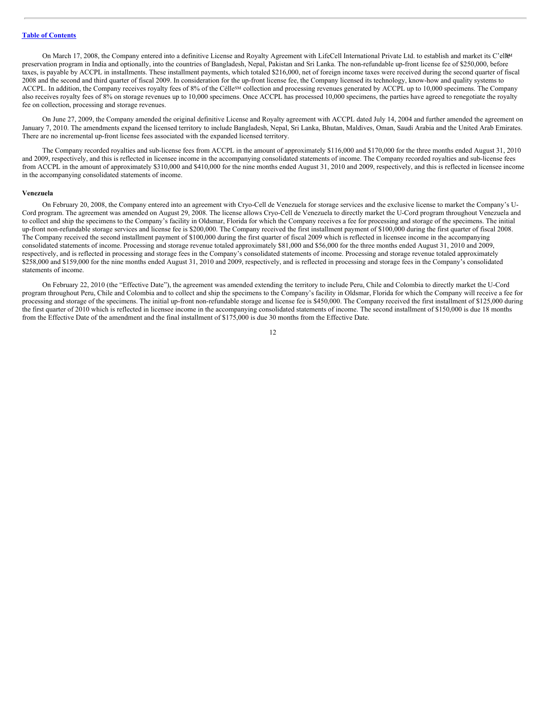On March 17, 2008, the Company entered into a definitive License and Royalty Agreement with LifeCell International Private Ltd. to establish and market its C'ell& preservation program in India and optionally, into the countries of Bangladesh, Nepal, Pakistan and Sri Lanka. The non-refundable up-front license fee of \$250,000, before taxes, is payable by ACCPL in installments. These installment payments, which totaled \$216,000, net of foreign income taxes were received during the second quarter of fiscal 2008 and the second and third quarter of fiscal 2009. In consideration for the up-front license fee, the Company licensed its technology, know-how and quality systems to ACCPL. In addition, the Company receives royalty fees of 8% of the Célles<sup>M</sup> collection and processing revenues generated by ACCPL up to 10,000 specimens. The Company also receives royalty fees of 8% on storage revenues up to 10,000 specimens. Once ACCPL has processed 10,000 specimens, the parties have agreed to renegotiate the royalty fee on collection, processing and storage revenues.

On June 27, 2009, the Company amended the original definitive License and Royalty agreement with ACCPL dated July 14, 2004 and further amended the agreement on January 7, 2010. The amendments expand the licensed territory to include Bangladesh, Nepal, Sri Lanka, Bhutan, Maldives, Oman, Saudi Arabia and the United Arab Emirates. There are no incremental up-front license fees associated with the expanded licensed territory.

The Company recorded royalties and sub-license fees from ACCPL in the amount of approximately \$116,000 and \$170,000 for the three months ended August 31, 2010 and 2009, respectively, and this is reflected in licensee income in the accompanying consolidated statements of income. The Company recorded royalties and sub-license fees from ACCPL in the amount of approximately \$310,000 and \$410,000 for the nine months ended August 31, 2010 and 2009, respectively, and this is reflected in licensee income in the accompanying consolidated statements of income.

#### **Venezuela**

On February 20, 2008, the Company entered into an agreement with Cryo-Cell de Venezuela for storage services and the exclusive license to market the Company's U-Cord program. The agreement was amended on August 29, 2008. The license allows Cryo-Cell de Venezuela to directly market the U-Cord program throughout Venezuela and to collect and ship the specimens to the Company's facility in Oldsmar, Florida for which the Company receives a fee for processing and storage of the specimens. The initial up-front non-refundable storage services and license fee is \$200,000. The Company received the first installment payment of \$100,000 during the first quarter of fiscal 2008. The Company received the second installment payment of \$100,000 during the first quarter of fiscal 2009 which is reflected in licensee income in the accompanying consolidated statements of income. Processing and storage revenue totaled approximately \$81,000 and \$56,000 for the three months ended August 31, 2010 and 2009, respectively, and is reflected in processing and storage fees in the Company's consolidated statements of income. Processing and storage revenue totaled approximately \$258,000 and \$159,000 for the nine months ended August 31, 2010 and 2009, respectively, and is reflected in processing and storage fees in the Company's consolidated statements of income.

On February 22, 2010 (the "Effective Date"), the agreement was amended extending the territory to include Peru, Chile and Colombia to directly market the U-Cord program throughout Peru, Chile and Colombia and to collect and ship the specimens to the Company's facility in Oldsmar, Florida for which the Company will receive a fee for processing and storage of the specimens. The initial up-front non-refundable storage and license fee is \$450,000. The Company received the first installment of \$125,000 during the first quarter of 2010 which is reflected in licensee income in the accompanying consolidated statements of income. The second installment of \$150,000 is due 18 months from the Effective Date of the amendment and the final installment of \$175,000 is due 30 months from the Effective Date.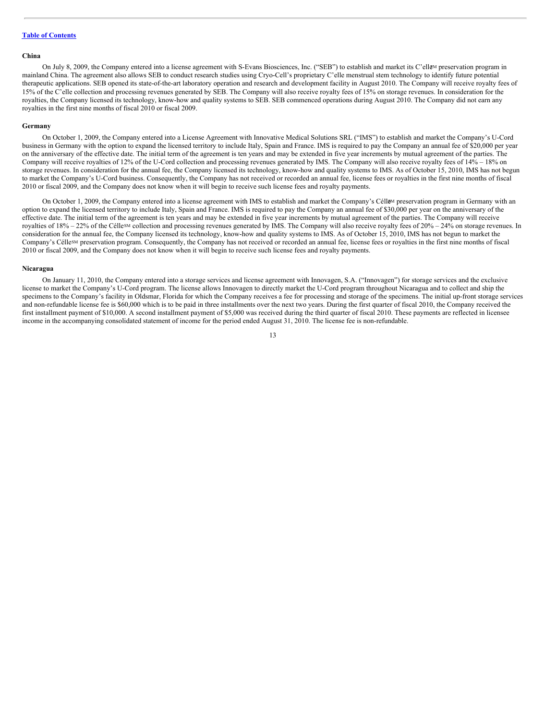#### **China**

On July 8, 2009, the Company entered into a license agreement with S-Evans Biosciences, Inc. ("SEB") to establish and market its C'ell&M preservation program in mainland China. The agreement also allows SEB to conduct research studies using Cryo-Cell's proprietary C'elle menstrual stem technology to identify future potential therapeutic applications. SEB opened its state-of-the-art laboratory operation and research and development facility in August 2010. The Company will receive royalty fees of 15% of the C'elle collection and processing revenues generated by SEB. The Company will also receive royalty fees of 15% on storage revenues. In consideration for the royalties, the Company licensed its technology, know-how and quality systems to SEB. SEB commenced operations during August 2010. The Company did not earn any royalties in the first nine months of fiscal 2010 or fiscal 2009.

#### **Germany**

On October 1, 2009, the Company entered into a License Agreement with Innovative Medical Solutions SRL ("IMS") to establish and market the Company's U-Cord business in Germany with the option to expand the licensed territory to include Italy, Spain and France. IMS is required to pay the Company an annual fee of \$20,000 per year on the anniversary of the effective date. The initial term of the agreement is ten years and may be extended in five year increments by mutual agreement of the parties. The Company will receive royalties of 12% of the U-Cord collection and processing revenues generated by IMS. The Company will also receive royalty fees of 14% – 18% on storage revenues. In consideration for the annual fee, the Company licensed its technology, know-how and quality systems to IMS. As of October 15, 2010, IMS has not begun to market the Company's U-Cord business. Consequently, the Company has not received or recorded an annual fee, license fees or royalties in the first nine months of fiscal 2010 or fiscal 2009, and the Company does not know when it will begin to receive such license fees and royalty payments.

On October 1, 2009, the Company entered into a license agreement with IMS to establish and market the Company's Célle<sup>M</sup> preservation program in Germany with an option to expand the licensed territory to include Italy, Spain and France. IMS is required to pay the Company an annual fee of \$30,000 per year on the anniversary of the effective date. The initial term of the agreement is ten years and may be extended in five year increments by mutual agreement of the parties. The Company will receive royalties of 18% – 22% of the Célle<sup>sM</sup> collection and processing revenues generated by IMS. The Company will also receive royalty fees of 20% – 24% on storage revenues. In consideration for the annual fee, the Company licensed its technology, know-how and quality systems to IMS. As of October 15, 2010, IMS has not begun to market the Company's Célle<sup>SM</sup> preservation program. Consequently, the Company has not received or recorded an annual fee, license fees or royalties in the first nine months of fiscal 2010 or fiscal 2009, and the Company does not know when it will begin to receive such license fees and royalty payments.

#### **Nicaragua**

On January 11, 2010, the Company entered into a storage services and license agreement with Innovagen, S.A. ("Innovagen") for storage services and the exclusive license to market the Company's U-Cord program. The license allows Innovagen to directly market the U-Cord program throughout Nicaragua and to collect and ship the specimens to the Company's facility in Oldsmar, Florida for which the Company receives a fee for processing and storage of the specimens. The initial up-front storage services and non-refundable license fee is \$60,000 which is to be paid in three installments over the next two years. During the first quarter of fiscal 2010, the Company received the first installment payment of \$10,000. A second installment payment of \$5,000 was received during the third quarter of fiscal 2010. These payments are reflected in licensee income in the accompanying consolidated statement of income for the period ended August 31, 2010. The license fee is non-refundable.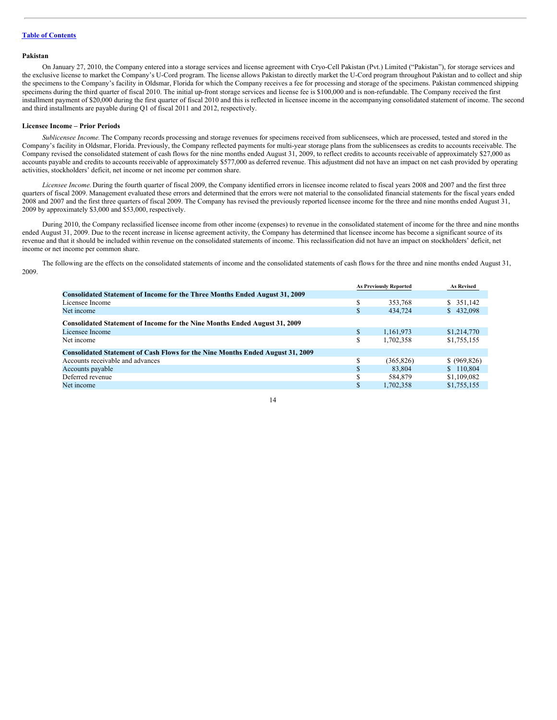#### **Pakistan**

On January 27, 2010, the Company entered into a storage services and license agreement with Cryo-Cell Pakistan (Pvt.) Limited ("Pakistan"), for storage services and the exclusive license to market the Company's U-Cord program. The license allows Pakistan to directly market the U-Cord program throughout Pakistan and to collect and ship the specimens to the Company's facility in Oldsmar, Florida for which the Company receives a fee for processing and storage of the specimens. Pakistan commenced shipping specimens during the third quarter of fiscal 2010. The initial up-front storage services and license fee is \$100,000 and is non-refundable. The Company received the first installment payment of \$20,000 during the first quarter of fiscal 2010 and this is reflected in licensee income in the accompanying consolidated statement of income. The second and third installments are payable during Q1 of fiscal 2011 and 2012, respectively.

#### **Licensee Income – Prior Periods**

*Sublicensee Income.* The Company records processing and storage revenues for specimens received from sublicensees, which are processed, tested and stored in the Company's facility in Oldsmar, Florida. Previously, the Company reflected payments for multi-year storage plans from the sublicensees as credits to accounts receivable. The Company revised the consolidated statement of cash flows for the nine months ended August 31, 2009, to reflect credits to accounts receivable of approximately \$27,000 as accounts payable and credits to accounts receivable of approximately \$577,000 as deferred revenue. This adjustment did not have an impact on net cash provided by operating activities, stockholders' deficit, net income or net income per common share.

*Licensee Income.* During the fourth quarter of fiscal 2009, the Company identified errors in licensee income related to fiscal years 2008 and 2007 and the first three quarters of fiscal 2009. Management evaluated these errors and determined that the errors were not material to the consolidated financial statements for the fiscal years ended 2008 and 2007 and the first three quarters of fiscal 2009. The Company has revised the previously reported licensee income for the three and nine months ended August 31, 2009 by approximately \$3,000 and \$53,000, respectively.

During 2010, the Company reclassified licensee income from other income (expenses) to revenue in the consolidated statement of income for the three and nine months ended August 31, 2009. Due to the recent increase in license agreement activity, the Company has determined that licensee income has become a significant source of its revenue and that it should be included within revenue on the consolidated statements of income. This reclassification did not have an impact on stockholders' deficit, net income or net income per common share.

The following are the effects on the consolidated statements of income and the consolidated statements of cash flows for the three and nine months ended August 31, 2009.

|                                                                                       | <b>As Previously Reported</b> | <b>As Revised</b> |
|---------------------------------------------------------------------------------------|-------------------------------|-------------------|
| Consolidated Statement of Income for the Three Months Ended August 31, 2009           |                               |                   |
| Licensee Income                                                                       | \$<br>353,768                 | \$ 351,142        |
| Net income                                                                            | \$<br>434,724                 | \$432,098         |
| <b>Consolidated Statement of Income for the Nine Months Ended August 31, 2009</b>     |                               |                   |
| Licensee Income                                                                       | \$<br>1,161,973               | \$1,214,770       |
| Net income                                                                            | \$<br>1,702,358               | \$1,755,155       |
| <b>Consolidated Statement of Cash Flows for the Nine Months Ended August 31, 2009</b> |                               |                   |
| Accounts receivable and advances                                                      | \$<br>(365, 826)              | \$ (969,826)      |
| Accounts payable                                                                      | 83.804                        | \$110,804         |
| Deferred revenue                                                                      | 584,879                       | \$1,109,082       |
| Net income                                                                            | \$<br>1.702.358               | \$1,755,155       |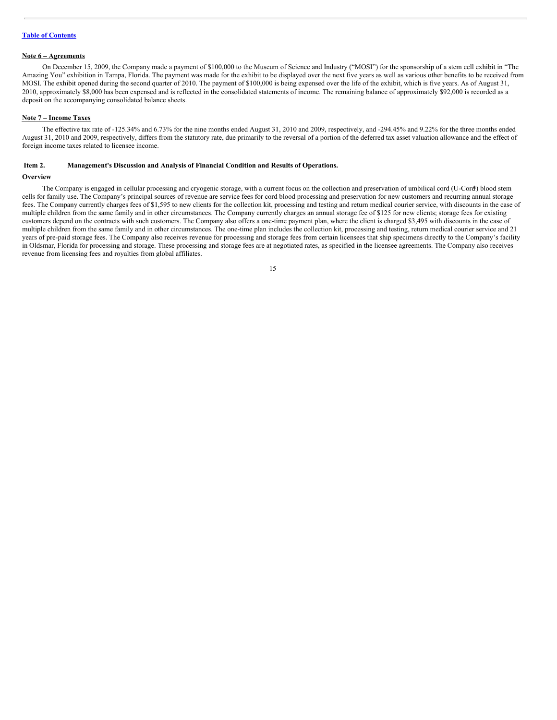#### **Note 6 – Agreements**

On December 15, 2009, the Company made a payment of \$100,000 to the Museum of Science and Industry ("MOSI") for the sponsorship of a stem cell exhibit in "The Amazing You" exhibition in Tampa, Florida. The payment was made for the exhibit to be displayed over the next five years as well as various other benefits to be received from MOSI. The exhibit opened during the second quarter of 2010. The payment of \$100,000 is being expensed over the life of the exhibit, which is five years. As of August 31, 2010, approximately \$8,000 has been expensed and is reflected in the consolidated statements of income. The remaining balance of approximately \$92,000 is recorded as a deposit on the accompanying consolidated balance sheets.

## **Note 7 – Income Taxes**

The effective tax rate of -125.34% and 6.73% for the nine months ended August 31, 2010 and 2009, respectively, and -294.45% and 9.22% for the three months ended August 31, 2010 and 2009, respectively, differs from the statutory rate, due primarily to the reversal of a portion of the deferred tax asset valuation allowance and the effect of foreign income taxes related to licensee income.

#### <span id="page-17-0"></span>**Item 2. Management's Discussion and Analysis of Financial Condition and Results of Operations.**

#### **Overview**

The Company is engaged in cellular processing and cryogenic storage, with a current focus on the collection and preservation of umbilical cord (U-Cord) blood stem ®cells for family use. The Company's principal sources of revenue are service fees for cord blood processing and preservation for new customers and recurring annual storage fees. The Company currently charges fees of \$1,595 to new clients for the collection kit, processing and testing and return medical courier service, with discounts in the case of multiple children from the same family and in other circumstances. The Company currently charges an annual storage fee of \$125 for new clients; storage fees for existing customers depend on the contracts with such customers. The Company also offers a one-time payment plan, where the client is charged \$3,495 with discounts in the case of multiple children from the same family and in other circumstances. The one-time plan includes the collection kit, processing and testing, return medical courier service and 21 years of pre-paid storage fees. The Company also receives revenue for processing and storage fees from certain licensees that ship specimens directly to the Company's facility in Oldsmar, Florida for processing and storage. These processing and storage fees are at negotiated rates, as specified in the licensee agreements. The Company also receives revenue from licensing fees and royalties from global affiliates.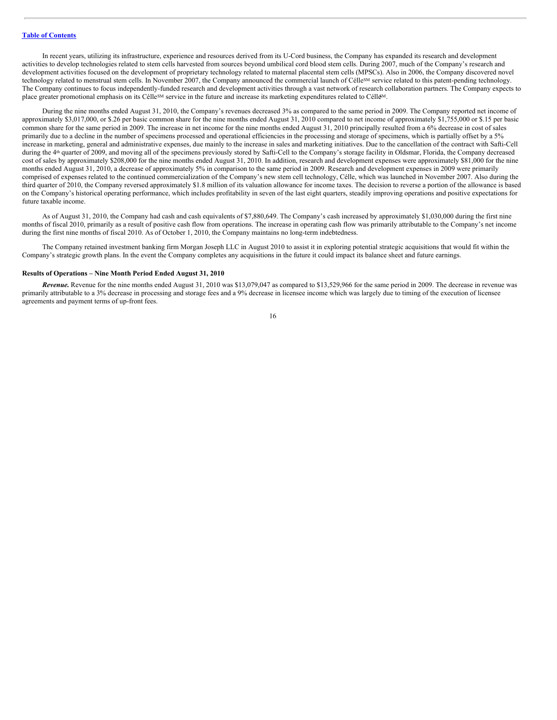In recent years, utilizing its infrastructure, experience and resources derived from its U-Cord business, the Company has expanded its research and development activities to develop technologies related to stem cells harvested from sources beyond umbilical cord blood stem cells. During 2007, much of the Company's research and development activities focused on the development of proprietary technology related to maternal placental stem cells (MPSCs). Also in 2006, the Company discovered novel technology related to menstrual stem cells. In November 2007, the Company announced the commercial launch of Célle<sup>SM</sup> service related to this patent-pending technology. The Company continues to focus independently-funded research and development activities through a vast network of research collaboration partners. The Company expects to place greater promotional emphasis on its Célle<sup>sM</sup> service in the future and increase its marketing expenditures related to Célle<sup>M</sup>.

During the nine months ended August 31, 2010, the Company's revenues decreased 3% as compared to the same period in 2009. The Company reported net income of approximately \$3,017,000, or \$.26 per basic common share for the nine months ended August 31, 2010 compared to net income of approximately \$1,755,000 or \$.15 per basic common share for the same period in 2009. The increase in net income for the nine months ended August 31, 2010 principally resulted from a 6% decrease in cost of sales primarily due to a decline in the number of specimens processed and operational efficiencies in the processing and storage of specimens, which is partially offset by a 5% increase in marketing, general and administrative expenses, due mainly to the increase in sales and marketing initiatives. Due to the cancellation of the contract with Safti-Cell during the 4<sup>th</sup> quarter of 2009, and moving all of the specimens previously stored by Safti-Cell to the Company's storage facility in Oldsmar, Florida, the Company decreased cost of sales by approximately \$208,000 for the nine months ended August 31, 2010. In addition, research and development expenses were approximately \$81,000 for the nine months ended August 31, 2010, a decrease of approximately 5% in comparison to the same period in 2009. Research and development expenses in 2009 were primarily comprised of expenses related to the continued commercialization of the Company's new stem cell technology, Célle, which was launched in November 2007. Also during the third quarter of 2010, the Company reversed approximately \$1.8 million of its valuation allowance for income taxes. The decision to reverse a portion of the allowance is based on the Company's historical operating performance, which includes profitability in seven of the last eight quarters, steadily improving operations and positive expectations for future taxable income.

As of August 31, 2010, the Company had cash and cash equivalents of \$7,880,649. The Company's cash increased by approximately \$1,030,000 during the first nine months of fiscal 2010, primarily as a result of positive cash flow from operations. The increase in operating cash flow was primarily attributable to the Company's net income during the first nine months of fiscal 2010. As of October 1, 2010, the Company maintains no long-term indebtedness.

The Company retained investment banking firm Morgan Joseph LLC in August 2010 to assist it in exploring potential strategic acquisitions that would fit within the Company's strategic growth plans. In the event the Company completes any acquisitions in the future it could impact its balance sheet and future earnings.

#### **Results of Operations – Nine Month Period Ended August 31, 2010**

Revenue. Revenue for the nine months ended August 31, 2010 was \$13,079,047 as compared to \$13,529,966 for the same period in 2009. The decrease in revenue was primarily attributable to a 3% decrease in processing and storage fees and a 9% decrease in licensee income which was largely due to timing of the execution of licensee agreements and payment terms of up-front fees.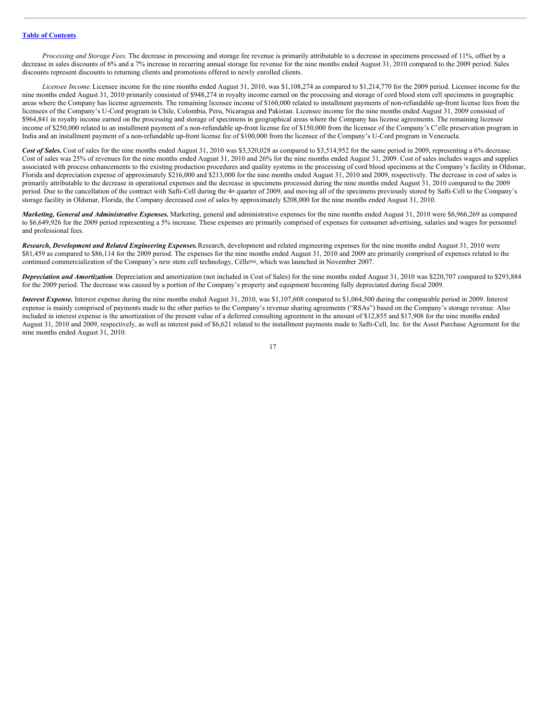*Processing and Storage Fees.* The decrease in processing and storage fee revenue is primarily attributable to a decrease in specimens processed of 11%, offset by a decrease in sales discounts of 6% and a 7% increase in recurring annual storage fee revenue for the nine months ended August 31, 2010 compared to the 2009 period. Sales discounts represent discounts to returning clients and promotions offered to newly enrolled clients.

*Licensee Income.*Licensee income for the nine months ended August 31, 2010, was \$1,108,274 as compared to \$1,214,770 for the 2009 period. Licensee income for the nine months ended August 31, 2010 primarily consisted of \$948,274 in royalty income earned on the processing and storage of cord blood stem cell specimens in geographic areas where the Company has license agreements. The remaining licensee income of \$160,000 related to installment payments of non-refundable up-front license fees from the licensees of the Company's U-Cord program in Chile, Colombia, Peru, Nicaragua and Pakistan. Licensee income for the nine months ended August 31, 2009 consisted of \$964,841 in royalty income earned on the processing and storage of specimens in geographical areas where the Company has license agreements. The remaining licensee income of \$250,000 related to an installment payment of a non-refundable up-front license (ee of \$150,000 from the licensee of the Company's C'elle preservation program in India and an installment payment of a non-refundable up-front license fee of \$100,000 from the licensee of the Company's U-Cord program in Venezuela.

Cost of Sales. Cost of sales for the nine months ended August 31, 2010 was \$3,320,028 as compared to \$3,514,952 for the same period in 2009, representing a 6% decrease. Cost of sales was 25% of revenues for the nine months ended August 31, 2010 and 26% for the nine months ended August 31, 2009. Cost of sales includes wages and supplies associated with process enhancements to the existing production procedures and quality systems in the processing of cord blood specimens at the Company's facility in Oldsmar, Florida and depreciation expense of approximately \$216,000 and \$213,000 for the nine months ended August 31, 2010 and 2009, respectively. The decrease in cost of sales is primarily attributable to the decrease in operational expenses and the decrease in specimens processed during the nine months ended August 31, 2010 compared to the 2009 period. Due to the cancellation of the contract with Safti-Cell during the 4<sup>th</sup> quarter of 2009, and moving all of the specimens previously stored by Safti-Cell to the Company's storage facility in Oldsmar, Florida, the Company decreased cost of sales by approximately \$208,000 for the nine months ended August 31, 2010.

*Marketing, General and Administrative Expenses.* Marketing, general and administrative expenses for the nine months ended August 31, 2010 were \$6,966,269 as compared to \$6,649,926 for the 2009 period representing a 5% increase. These expenses are primarily comprised of expenses for consumer advertising, salaries and wages for personnel and professional fees.

*Research, Development and Related Engineering Expenses.*Research, development and related engineering expenses for the nine months ended August 31, 2010 were \$81,459 as compared to \$86,114 for the 2009 period. The expenses for the nine months ended August 31, 2010 and 2009 are primarily comprised of expenses related to the continued commercialization of the Company's new stem cell technology, Célle<sup>sM</sup>, which was launched in November 2007.

*Depreciation and Amortization*. Depreciation and amortization (not included in Cost of Sales) for the nine months ended August 31, 2010 was \$220,707 compared to \$293,884 for the 2009 period. The decrease was caused by a portion of the Company's property and equipment becoming fully depreciated during fiscal 2009.

*Interest Expense.* Interest expense during the nine months ended August 31, 2010, was \$1,107,608 compared to \$1,064,500 during the comparable period in 2009. Interest expense is mainly comprised of payments made to the other parties to the Company's revenue sharing agreements ("RSAs") based on the Company's storage revenue. Also included in interest expense is the amortization of the present value of a deferred consulting agreement in the amount of \$12,855 and \$17,908 for the nine months ended August 31, 2010 and 2009, respectively, as well as interest paid of \$6,621 related to the installment payments made to Safti-Cell, Inc. for the Asset Purchase Agreement for the nine months ended August 31, 2010.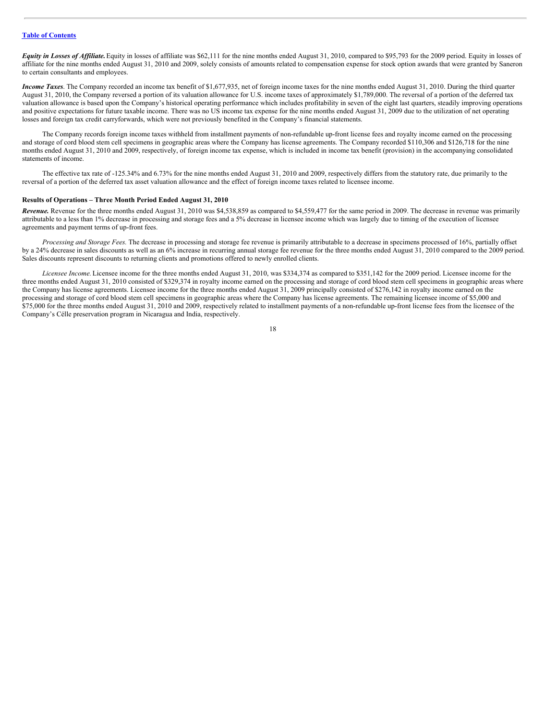*Equity in Losses of Affiliate.* Equity in losses of affiliate was \$62,111 for the nine months ended August 31, 2010, compared to \$95,793 for the 2009 period. Equity in losses of affiliate for the nine months ended August 31, 2010 and 2009, solely consists of amounts related to compensation expense for stock option awards that were granted by Saneron to certain consultants and employees.

*Income Taxes*. The Company recorded an income tax benefit of \$1,677,935, net of foreign income taxes for the nine months ended August 31, 2010. During the third quarter August 31, 2010, the Company reversed a portion of its valuation allowance for U.S. income taxes of approximately \$1,789,000. The reversal of a portion of the deferred tax valuation allowance is based upon the Company's historical operating performance which includes profitability in seven of the eight last quarters, steadily improving operations and positive expectations for future taxable income. There was no US income tax expense for the nine months ended August 31, 2009 due to the utilization of net operating losses and foreign tax credit carryforwards, which were not previously benefited in the Company's financial statements.

The Company records foreign income taxes withheld from installment payments of non-refundable up-front license fees and royalty income earned on the processing and storage of cord blood stem cell specimens in geographic areas where the Company has license agreements. The Company recorded \$110,306 and \$126,718 for the nine months ended August 31, 2010 and 2009, respectively, of foreign income tax expense, which is included in income tax benefit (provision) in the accompanying consolidated statements of income.

The effective tax rate of -125.34% and 6.73% for the nine months ended August 31, 2010 and 2009, respectively differs from the statutory rate, due primarily to the reversal of a portion of the deferred tax asset valuation allowance and the effect of foreign income taxes related to licensee income.

#### **Results of Operations – Three Month Period Ended August 31, 2010**

*Revenue.* Revenue for the three months ended August 31, 2010 was \$4,538,859 as compared to \$4,559,477 for the same period in 2009. The decrease in revenue was primarily attributable to a less than 1% decrease in processing and storage fees and a 5% decrease in licensee income which was largely due to timing of the execution of licensee agreements and payment terms of up-front fees.

*Processing and Storage Fees.* The decrease in processing and storage fee revenue is primarily attributable to a decrease in specimens processed of 16%, partially offset by a 24% decrease in sales discounts as well as an 6% increase in recurring annual storage fee revenue for the three months ended August 31, 2010 compared to the 2009 period. Sales discounts represent discounts to returning clients and promotions offered to newly enrolled clients.

*Licensee Income.*Licensee income for the three months ended August 31, 2010, was \$334,374 as compared to \$351,142 for the 2009 period. Licensee income for the three months ended August 31, 2010 consisted of \$329,374 in royalty income earned on the processing and storage of cord blood stem cell specimens in geographic areas where the Company has license agreements. Licensee income for the three months ended August 31, 2009 principally consisted of \$276,142 in royalty income earned on the processing and storage of cord blood stem cell specimens in geographic areas where the Company has license agreements. The remaining licensee income of \$5,000 and \$75,000 for the three months ended August 31, 2010 and 2009, respectively related to installment payments of a non-refundable up-front license fees from the licensee of the Company's Célle preservation program in Nicaragua and India, respectively.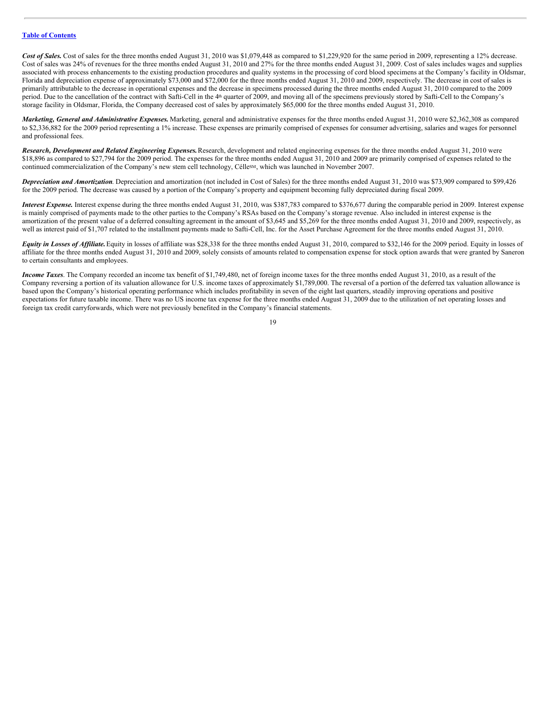Cost of Sales. Cost of sales for the three months ended August 31, 2010 was \$1,079,448 as compared to \$1,229,920 for the same period in 2009, representing a 12% decrease. Cost of sales was 24% of revenues for the three months ended August 31, 2010 and 27% for the three months ended August 31, 2009. Cost of sales includes wages and supplies associated with process enhancements to the existing production procedures and quality systems in the processing of cord blood specimens at the Company's facility in Oldsmar, Florida and depreciation expense of approximately \$73,000 and \$72,000 for the three months ended August 31, 2010 and 2009, respectively. The decrease in cost of sales is primarily attributable to the decrease in operational expenses and the decrease in specimens processed during the three months ended August 31, 2010 compared to the 2009 period. Due to the cancellation of the contract with Safti-Cell in the 4<sup>th</sup> quarter of 2009, and moving all of the specimens previously stored by Safti-Cell to the Company's storage facility in Oldsmar, Florida, the Company decreased cost of sales by approximately \$65,000 for the three months ended August 31, 2010.

*Marketing, General and Administrative Expenses.* Marketing, general and administrative expenses for the three months ended August 31, 2010 were \$2,362,308 as compared to \$2,336,882 for the 2009 period representing a 1% increase. These expenses are primarily comprised of expenses for consumer advertising, salaries and wages for personnel and professional fees.

*Research, Development and Related Engineering Expenses.*Research, development and related engineering expenses for the three months ended August 31, 2010 were \$18,896 as compared to \$27,794 for the 2009 period. The expenses for the three months ended August 31, 2010 and 2009 are primarily comprised of expenses related to the continued commercialization of the Company's new stem cell technology, Célle<sup>SM</sup>, which was launched in November 2007.

*Depreciation and Amortization*. Depreciation and amortization (not included in Cost of Sales) for the three months ended August 31, 2010 was \$73,909 compared to \$99,426 for the 2009 period. The decrease was caused by a portion of the Company's property and equipment becoming fully depreciated during fiscal 2009.

*Interest Expense.* Interest expense during the three months ended August 31, 2010, was \$387,783 compared to \$376,677 during the comparable period in 2009. Interest expense is mainly comprised of payments made to the other parties to the Company's RSAs based on the Company's storage revenue. Also included in interest expense is the amortization of the present value of a deferred consulting agreement in the amount of \$3,645 and \$5,269 for the three months ended August 31, 2010 and 2009, respectively, as well as interest paid of \$1,707 related to the installment payments made to Safti-Cell, Inc. for the Asset Purchase Agreement for the three months ended August 31, 2010.

Equity in Losses of Affiliate. Equity in losses of affiliate was \$28,338 for the three months ended August 31, 2010, compared to \$32,146 for the 2009 period. Equity in losses of affiliate for the three months ended August 31, 2010 and 2009, solely consists of amounts related to compensation expense for stock option awards that were granted by Saneron to certain consultants and employees.

*Income Taxes*. The Company recorded an income tax benefit of \$1,749,480, net of foreign income taxes for the three months ended August 31, 2010, as a result of the Company reversing a portion of its valuation allowance for U.S. income taxes of approximately \$1,789,000. The reversal of a portion of the deferred tax valuation allowance is based upon the Company's historical operating performance which includes profitability in seven of the eight last quarters, steadily improving operations and positive expectations for future taxable income. There was no US income tax expense for the three months ended August 31, 2009 due to the utilization of net operating losses and foreign tax credit carryforwards, which were not previously benefited in the Company's financial statements.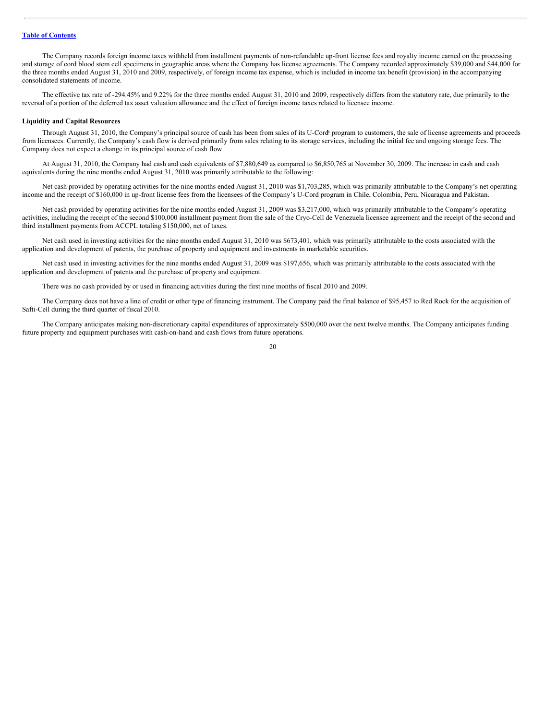The Company records foreign income taxes withheld from installment payments of non-refundable up-front license fees and royalty income earned on the processing and storage of cord blood stem cell specimens in geographic areas where the Company has license agreements. The Company recorded approximately \$39,000 and \$44,000 for the three months ended August 31, 2010 and 2009, respectively, of foreign income tax expense, which is included in income tax benefit (provision) in the accompanying consolidated statements of income.

The effective tax rate of -294.45% and 9.22% for the three months ended August 31, 2010 and 2009, respectively differs from the statutory rate, due primarily to the reversal of a portion of the deferred tax asset valuation allowance and the effect of foreign income taxes related to licensee income.

#### **Liquidity and Capital Resources**

Through August 31, 2010, the Company's principal source of cash has been from sales of its U-Cord program to customers, the sale of license agreements and proceeds from licensees. Currently, the Company's cash flow is derived primarily from sales relating to its storage services, including the initial fee and ongoing storage fees. The Company does not expect a change in its principal source of cash flow.

At August 31, 2010, the Company had cash and cash equivalents of \$7,880,649 as compared to \$6,850,765 at November 30, 2009. The increase in cash and cash equivalents during the nine months ended August 31, 2010 was primarily attributable to the following:

Net cash provided by operating activities for the nine months ended August 31, 2010 was \$1,703,285, which was primarily attributable to the Company's net operating income and the receipt of \$160,000 in up-front license fees from the licensees of the Company's U-Cord program in Chile, Colombia, Peru, Nicaragua and Pakistan.

Net cash provided by operating activities for the nine months ended August 31, 2009 was \$3,217,000, which was primarily attributable to the Company's operating activities, including the receipt of the second \$100,000 installment payment from the sale of the Cryo-Cell de Venezuela licensee agreement and the receipt of the second and third installment payments from ACCPL totaling \$150,000, net of taxes.

Net cash used in investing activities for the nine months ended August 31, 2010 was \$673,401, which was primarily attributable to the costs associated with the application and development of patents, the purchase of property and equipment and investments in marketable securities.

Net cash used in investing activities for the nine months ended August 31, 2009 was \$197,656, which was primarily attributable to the costs associated with the application and development of patents and the purchase of property and equipment.

There was no cash provided by or used in financing activities during the first nine months of fiscal 2010 and 2009.

The Company does not have a line of credit or other type of financing instrument. The Company paid the final balance of \$95,457 to Red Rock for the acquisition of Safti-Cell during the third quarter of fiscal 2010.

The Company anticipates making non-discretionary capital expenditures of approximately \$500,000 over the next twelve months. The Company anticipates funding future property and equipment purchases with cash-on-hand and cash flows from future operations.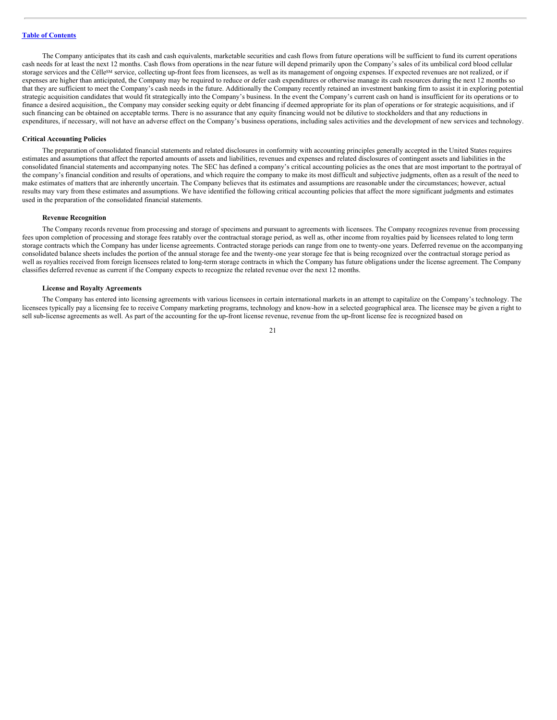The Company anticipates that its cash and cash equivalents, marketable securities and cash flows from future operations will be sufficient to fund its current operations cash needs for at least the next 12 months. Cash flows from operations in the near future will depend primarily upon the Company's sales of its umbilical cord blood cellular storage services and the CéllesM service, collecting up-front fees from licensees, as well as its management of ongoing expenses. If expected revenues are not realized, or if expenses are higher than anticipated, the Company may be required to reduce or defer cash expenditures or otherwise manage its cash resources during the next 12 months so that they are sufficient to meet the Company's cash needs in the future. Additionally the Company recently retained an investment banking firm to assist it in exploring potential strategic acquisition candidates that would fit strategically into the Company's business. In the event the Company's current cash on hand is insufficient for its operations or to finance a desired acquisition,, the Company may consider seeking equity or debt financing if deemed appropriate for its plan of operations or for strategic acquisitions, and if such financing can be obtained on acceptable terms. There is no assurance that any equity financing would not be dilutive to stockholders and that any reductions in expenditures, if necessary, will not have an adverse effect on the Company's business operations, including sales activities and the development of new services and technology.

#### **Critical Accounting Policies**

The preparation of consolidated financial statements and related disclosures in conformity with accounting principles generally accepted in the United States requires estimates and assumptions that affect the reported amounts of assets and liabilities, revenues and expenses and related disclosures of contingent assets and liabilities in the consolidated financial statements and accompanying notes. The SEC has defined a company's critical accounting policies as the ones that are most important to the portrayal of the company's financial condition and results of operations, and which require the company to make its most difficult and subjective judgments, often as a result of the need to make estimates of matters that are inherently uncertain. The Company believes that its estimates and assumptions are reasonable under the circumstances; however, actual results may vary from these estimates and assumptions. We have identified the following critical accounting policies that affect the more significant judgments and estimates used in the preparation of the consolidated financial statements.

#### **Revenue Recognition**

The Company records revenue from processing and storage of specimens and pursuant to agreements with licensees. The Company recognizes revenue from processing fees upon completion of processing and storage fees ratably over the contractual storage period, as well as, other income from royalties paid by licensees related to long term storage contracts which the Company has under license agreements. Contracted storage periods can range from one to twenty-one years. Deferred revenue on the accompanying consolidated balance sheets includes the portion of the annual storage fee and the twenty-one year storage fee that is being recognized over the contractual storage period as well as royalties received from foreign licensees related to long-term storage contracts in which the Company has future obligations under the license agreement. The Company classifies deferred revenue as current if the Company expects to recognize the related revenue over the next 12 months.

#### **License and Royalty Agreements**

The Company has entered into licensing agreements with various licensees in certain international markets in an attempt to capitalize on the Company's technology. The licensees typically pay a licensing fee to receive Company marketing programs, technology and know-how in a selected geographical area. The licensee may be given a right to sell sub-license agreements as well. As part of the accounting for the up-front license revenue, revenue from the up-front license fee is recognized based on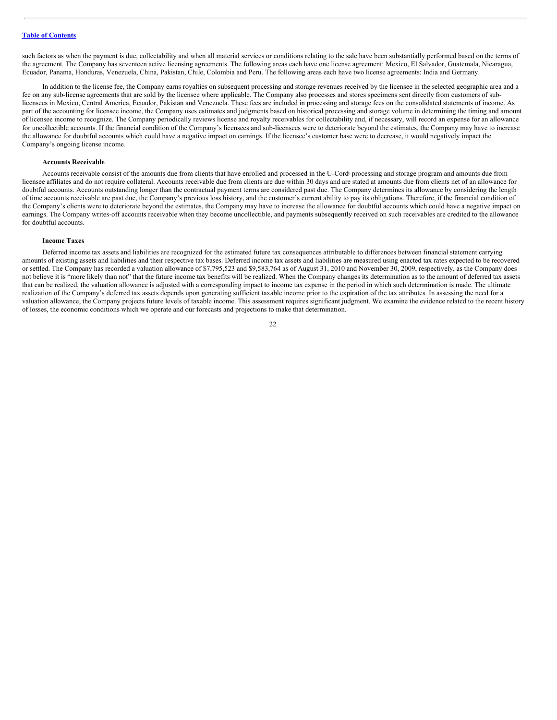such factors as when the payment is due, collectability and when all material services or conditions relating to the sale have been substantially performed based on the terms of the agreement. The Company has seventeen active licensing agreements. The following areas each have one license agreement: Mexico, El Salvador, Guatemala, Nicaragua, Ecuador, Panama, Honduras, Venezuela, China, Pakistan, Chile, Colombia and Peru. The following areas each have two license agreements: India and Germany.

In addition to the license fee, the Company earns royalties on subsequent processing and storage revenues received by the licensee in the selected geographic area and a fee on any sub-license agreements that are sold by the licensee where applicable. The Company also processes and stores specimens sent directly from customers of sublicensees in Mexico, Central America, Ecuador, Pakistan and Venezuela. These fees are included in processing and storage fees on the consolidated statements of income. As part of the accounting for licensee income, the Company uses estimates and judgments based on historical processing and storage volume in determining the timing and amount of licensee income to recognize. The Company periodically reviews license and royalty receivables for collectability and, if necessary, will record an expense for an allowance for uncollectible accounts. If the financial condition of the Company's licensees and sub-licensees were to deteriorate beyond the estimates, the Company may have to increase the allowance for doubtful accounts which could have a negative impact on earnings. If the licensee's customer base were to decrease, it would negatively impact the Company's ongoing license income.

#### **Accounts Receivable**

Accounts receivable consist of the amounts due from clients that have enrolled and processed in the U-Cord processing and storage program and amounts due from licensee affiliates and do not require collateral. Accounts receivable due from clients are due within 30 days and are stated at amounts due from clients net of an allowance for doubtful accounts. Accounts outstanding longer than the contractual payment terms are considered past due. The Company determines its allowance by considering the length of time accounts receivable are past due, the Company's previous loss history, and the customer's current ability to pay its obligations. Therefore, if the financial condition of the Company's clients were to deteriorate beyond the estimates, the Company may have to increase the allowance for doubtful accounts which could have a negative impact on earnings. The Company writes-off accounts receivable when they become uncollectible, and payments subsequently received on such receivables are credited to the allowance for doubtful accounts.

# **Income Taxes**

Deferred income tax assets and liabilities are recognized for the estimated future tax consequences attributable to differences between financial statement carrying amounts of existing assets and liabilities and their respective tax bases. Deferred income tax assets and liabilities are measured using enacted tax rates expected to be recovered or settled. The Company has recorded a valuation allowance of \$7,795,523 and \$9,583,764 as of August 31, 2010 and November 30, 2009, respectively, as the Company does not believe it is "more likely than not" that the future income tax benefits will be realized. When the Company changes its determination as to the amount of deferred tax assets that can be realized, the valuation allowance is adjusted with a corresponding impact to income tax expense in the period in which such determination is made. The ultimate realization of the Company's deferred tax assets depends upon generating sufficient taxable income prior to the expiration of the tax attributes. In assessing the need for a valuation allowance, the Company projects future levels of taxable income. This assessment requires significant judgment. We examine the evidence related to the recent history of losses, the economic conditions which we operate and our forecasts and projections to make that determination.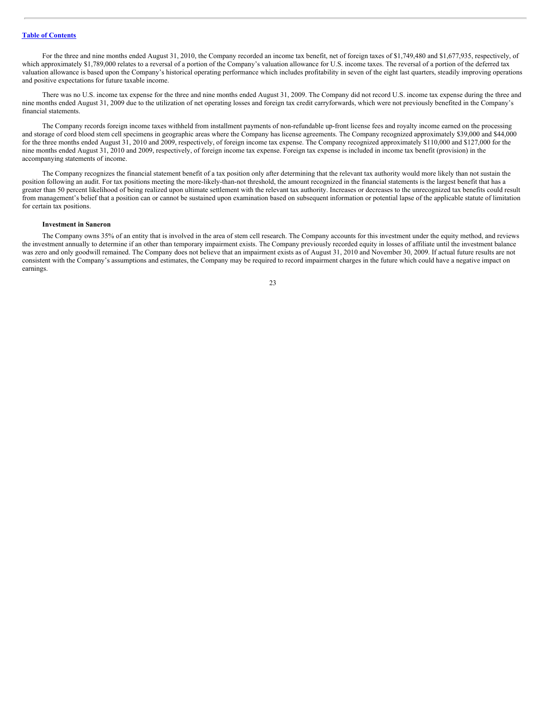For the three and nine months ended August 31, 2010, the Company recorded an income tax benefit, net of foreign taxes of \$1,749,480 and \$1,677,935, respectively, of which approximately \$1,789,000 relates to a reversal of a portion of the Company's valuation allowance for U.S. income taxes. The reversal of a portion of the deferred tax valuation allowance is based upon the Company's historical operating performance which includes profitability in seven of the eight last quarters, steadily improving operations and positive expectations for future taxable income.

There was no U.S. income tax expense for the three and nine months ended August 31, 2009. The Company did not record U.S. income tax expense during the three and nine months ended August 31, 2009 due to the utilization of net operating losses and foreign tax credit carryforwards, which were not previously benefited in the Company's financial statements.

The Company records foreign income taxes withheld from installment payments of non-refundable up-front license fees and royalty income earned on the processing and storage of cord blood stem cell specimens in geographic areas where the Company has license agreements. The Company recognized approximately \$39,000 and \$44,000 for the three months ended August 31, 2010 and 2009, respectively, of foreign income tax expense. The Company recognized approximately \$110,000 and \$127,000 for the nine months ended August 31, 2010 and 2009, respectively, of foreign income tax expense. Foreign tax expense is included in income tax benefit (provision) in the accompanying statements of income.

The Company recognizes the financial statement benefit of a tax position only after determining that the relevant tax authority would more likely than not sustain the position following an audit. For tax positions meeting the more-likely-than-not threshold, the amount recognized in the financial statements is the largest benefit that has a greater than 50 percent likelihood of being realized upon ultimate settlement with the relevant tax authority. Increases or decreases to the unrecognized tax benefits could result from management's belief that a position can or cannot be sustained upon examination based on subsequent information or potential lapse of the applicable statute of limitation for certain tax positions.

#### **Investment in Saneron**

The Company owns 35% of an entity that is involved in the area of stem cell research. The Company accounts for this investment under the equity method, and reviews the investment annually to determine if an other than temporary impairment exists. The Company previously recorded equity in losses of affiliate until the investment balance was zero and only goodwill remained. The Company does not believe that an impairment exists as of August 31, 2010 and November 30, 2009. If actual future results are not consistent with the Company's assumptions and estimates, the Company may be required to record impairment charges in the future which could have a negative impact on earnings.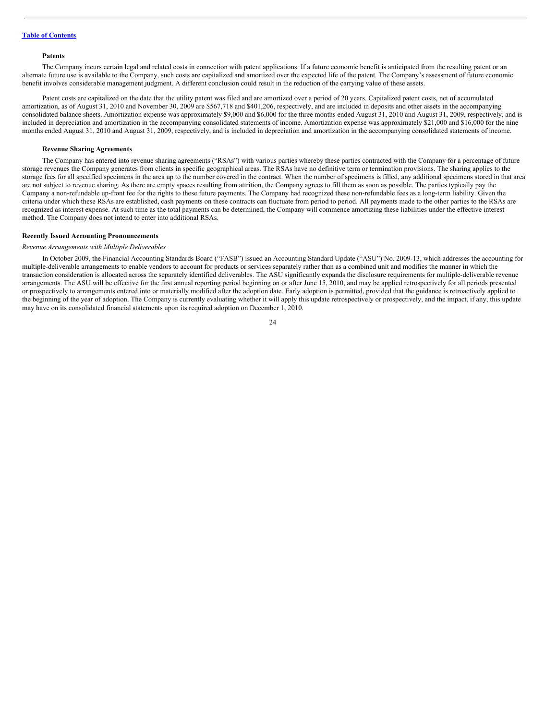#### **Patents**

The Company incurs certain legal and related costs in connection with patent applications. If a future economic benefit is anticipated from the resulting patent or an alternate future use is available to the Company, such costs are capitalized and amortized over the expected life of the patent. The Company's assessment of future economic benefit involves considerable management judgment. A different conclusion could result in the reduction of the carrying value of these assets.

Patent costs are capitalized on the date that the utility patent was filed and are amortized over a period of 20 years. Capitalized patent costs, net of accumulated amortization, as of August 31, 2010 and November 30, 2009 are \$567,718 and \$401,206, respectively, and are included in deposits and other assets in the accompanying consolidated balance sheets. Amortization expense was approximately \$9,000 and \$6,000 for the three months ended August 31, 2010 and August 31, 2009, respectively, and is included in depreciation and amortization in the accompanying consolidated statements of income. Amortization expense was approximately \$21,000 and \$16,000 for the nine months ended August 31, 2010 and August 31, 2009, respectively, and is included in depreciation and amortization in the accompanying consolidated statements of income.

# **Revenue Sharing Agreements**

The Company has entered into revenue sharing agreements ("RSAs") with various parties whereby these parties contracted with the Company for a percentage of future storage revenues the Company generates from clients in specific geographical areas. The RSAs have no definitive term or termination provisions. The sharing applies to the storage fees for all specified specimens in the area up to the number covered in the contract. When the number of specimens is filled, any additional specimens stored in that area are not subject to revenue sharing. As there are empty spaces resulting from attrition, the Company agrees to fill them as soon as possible. The parties typically pay the Company a non-refundable up-front fee for the rights to these future payments. The Company had recognized these non-refundable fees as a long-term liability. Given the criteria under which these RSAs are established, cash payments on these contracts can fluctuate from period to period. All payments made to the other parties to the RSAs are recognized as interest expense. At such time as the total payments can be determined, the Company will commence amortizing these liabilities under the effective interest method. The Company does not intend to enter into additional RSAs.

#### **Recently Issued Accounting Pronouncements**

#### *Revenue Arrangements with Multiple Deliverables*

In October 2009, the Financial Accounting Standards Board ("FASB") issued an Accounting Standard Update ("ASU") No. 2009-13, which addresses the accounting for multiple-deliverable arrangements to enable vendors to account for products or services separately rather than as a combined unit and modifies the manner in which the transaction consideration is allocated across the separately identified deliverables. The ASU significantly expands the disclosure requirements for multiple-deliverable revenue arrangements. The ASU will be effective for the first annual reporting period beginning on or after June 15, 2010, and may be applied retrospectively for all periods presented or prospectively to arrangements entered into or materially modified after the adoption date. Early adoption is permitted, provided that the guidance is retroactively applied to the beginning of the year of adoption. The Company is currently evaluating whether it will apply this update retrospectively or prospectively, and the impact, if any, this update may have on its consolidated financial statements upon its required adoption on December 1, 2010.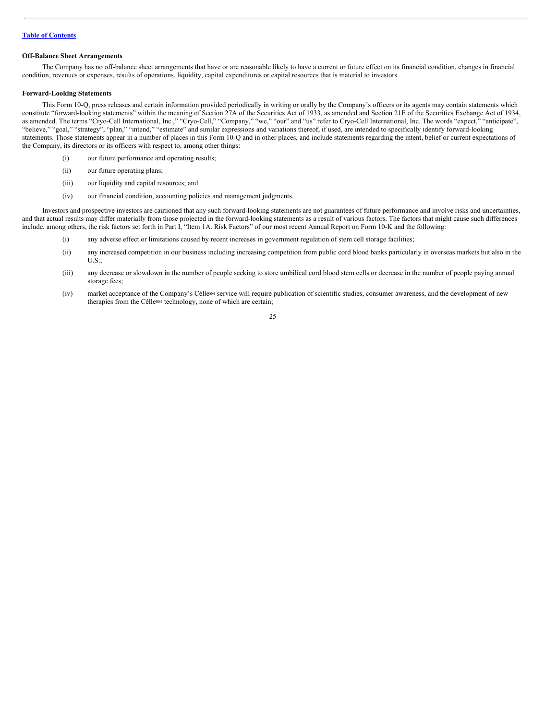### **Off-Balance Sheet Arrangements**

The Company has no off-balance sheet arrangements that have or are reasonable likely to have a current or future effect on its financial condition, changes in financial condition, revenues or expenses, results of operations, liquidity, capital expenditures or capital resources that is material to investors.

#### **Forward-Looking Statements**

This Form 10-Q, press releases and certain information provided periodically in writing or orally by the Company's officers or its agents may contain statements which constitute "forward-looking statements" within the meaning of Section 27A of the Securities Act of 1933, as amended and Section 21E of the Securities Exchange Act of 1934, as amended. The terms "Cryo-Cell International, Inc.," "Cryo-Cell," "Company," "we," "our" and "us" refer to Cryo-Cell International, Inc. The words "expect," "anticipate", "believe," "goal," "strategy", "plan," "intend," "estimate" and similar expressions and variations thereof, if used, are intended to specifically identify forward-looking statements. Those statements appear in a number of places in this Form 10-Q and in other places, and include statements regarding the intent, belief or current expectations of the Company, its directors or its officers with respect to, among other things:

- (i) our future performance and operating results;
- (ii) our future operating plans;
- (iii) our liquidity and capital resources; and
- (iv) our financial condition, accounting policies and management judgments.

Investors and prospective investors are cautioned that any such forward-looking statements are not guarantees of future performance and involve risks and uncertainties, and that actual results may differ materially from those projected in the forward-looking statements as a result of various factors. The factors that might cause such differences include, among others, the risk factors set forth in Part I, "Item 1A. Risk Factors" of our most recent Annual Report on Form 10-K and the following:

- (i) any adverse effect or limitations caused by recent increases in government regulation of stem cell storage facilities;
- (ii) any increased competition in our business including increasing competition from public cord blood banks particularly in overseas markets but also in the U.S.;
- (iii) any decrease or slowdown in the number of people seeking to store umbilical cord blood stem cells or decrease in the number of people paying annual storage fees;
- (iv) market acceptance of the Company's Célle<sup>SM</sup> service will require publication of scientific studies, consumer awareness, and the development of new therapies from the Célle<sup>sM</sup> technology, none of which are certain;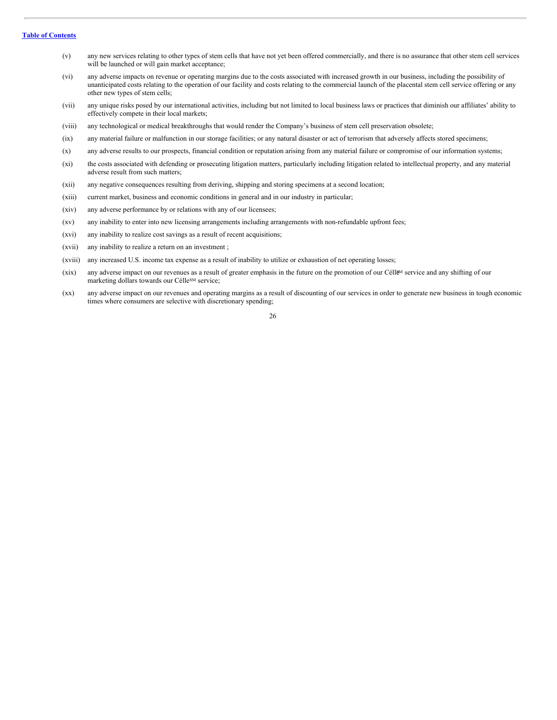- (v) any new services relating to other types of stem cells that have not yet been offered commercially, and there is no assurance that other stem cell services will be launched or will gain market acceptance;
- (vi) any adverse impacts on revenue or operating margins due to the costs associated with increased growth in our business, including the possibility of unanticipated costs relating to the operation of our facility and costs relating to the commercial launch of the placental stem cell service offering or any other new types of stem cells;
- (vii) any unique risks posed by our international activities, including but not limited to local business laws or practices that diminish our affiliates' ability to effectively compete in their local markets;
- (viii) any technological or medical breakthroughs that would render the Company's business of stem cell preservation obsolete;
- (ix) any material failure or malfunction in our storage facilities; or any natural disaster or act of terrorism that adversely affects stored specimens;
- (x) any adverse results to our prospects, financial condition or reputation arising from any material failure or compromise of our information systems;
- (xi) the costs associated with defending or prosecuting litigation matters, particularly including litigation related to intellectual property, and any material adverse result from such matters;
- (xii) any negative consequences resulting from deriving, shipping and storing specimens at a second location;
- (xiii) current market, business and economic conditions in general and in our industry in particular;
- (xiv) any adverse performance by or relations with any of our licensees;
- (xv) any inability to enter into new licensing arrangements including arrangements with non-refundable upfront fees;
- (xvi) any inability to realize cost savings as a result of recent acquisitions;
- (xvii) any inability to realize a return on an investment ;
- (xviii) any increased U.S. income tax expense as a result of inability to utilize or exhaustion of net operating losses;
- $(xix)$  any adverse impact on our revenues as a result of greater emphasis in the future on the promotion of our Céll<sup>®M</sup> service and any shifting of our marketing dollars towards our Célle<sup>SM</sup> service;
- (xx) any adverse impact on our revenues and operating margins as a result of discounting of our services in order to generate new business in tough economic times where consumers are selective with discretionary spending;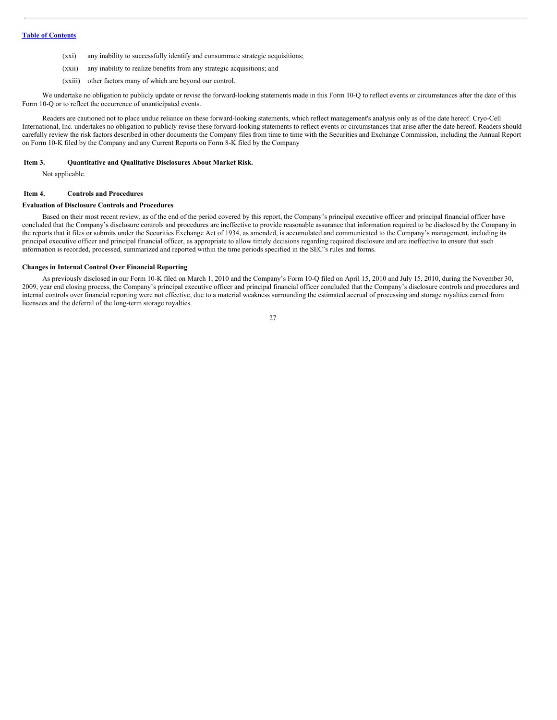- (xxi) any inability to successfully identify and consummate strategic acquisitions;
- (xxii) any inability to realize benefits from any strategic acquisitions; and
- (xxiii) other factors many of which are beyond our control.

We undertake no obligation to publicly update or revise the forward-looking statements made in this Form 10-Q to reflect events or circumstances after the date of this Form 10-Q or to reflect the occurrence of unanticipated events.

Readers are cautioned not to place undue reliance on these forward-looking statements, which reflect management's analysis only as of the date hereof. Cryo-Cell International, Inc. undertakes no obligation to publicly revise these forward-looking statements to reflect events or circumstances that arise after the date hereof. Readers should carefully review the risk factors described in other documents the Company files from time to time with the Securities and Exchange Commission, including the Annual Report on Form 10-K filed by the Company and any Current Reports on Form 8-K filed by the Company

#### <span id="page-29-0"></span>**Item 3. Quantitative and Qualitative Disclosures About Market Risk.**

Not applicable.

# <span id="page-29-1"></span>**Item 4. Controls and Procedures**

# **Evaluation of Disclosure Controls and Procedures**

Based on their most recent review, as of the end of the period covered by this report, the Company's principal executive officer and principal financial officer have concluded that the Company's disclosure controls and procedures are ineffective to provide reasonable assurance that information required to be disclosed by the Company in the reports that it files or submits under the Securities Exchange Act of 1934, as amended, is accumulated and communicated to the Company's management, including its principal executive officer and principal financial officer, as appropriate to allow timely decisions regarding required disclosure and are ineffective to ensure that such information is recorded, processed, summarized and reported within the time periods specified in the SEC's rules and forms.

#### **Changes in Internal Control Over Financial Reporting**

As previously disclosed in our Form 10-K filed on March 1, 2010 and the Company's Form 10-Q filed on April 15, 2010 and July 15, 2010, during the November 30, 2009, year end closing process, the Company's principal executive officer and principal financial officer concluded that the Company's disclosure controls and procedures and internal controls over financial reporting were not effective, due to a material weakness surrounding the estimated accrual of processing and storage royalties earned from licensees and the deferral of the long-term storage royalties.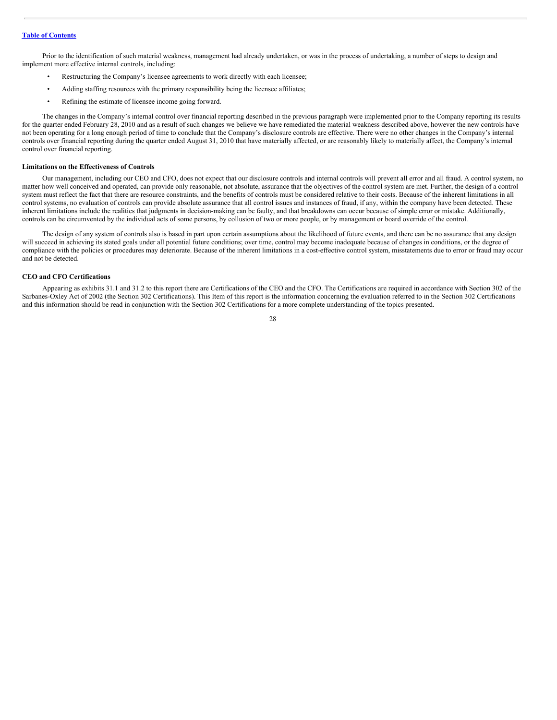Prior to the identification of such material weakness, management had already undertaken, or was in the process of undertaking, a number of steps to design and implement more effective internal controls, including:

- Restructuring the Company's licensee agreements to work directly with each licensee;
- Adding staffing resources with the primary responsibility being the licensee affiliates;
- Refining the estimate of licensee income going forward.

The changes in the Company's internal control over financial reporting described in the previous paragraph were implemented prior to the Company reporting its results for the quarter ended February 28, 2010 and as a result of such changes we believe we have remediated the material weakness described above, however the new controls have not been operating for a long enough period of time to conclude that the Company's disclosure controls are effective. There were no other changes in the Company's internal controls over financial reporting during the quarter ended August 31, 2010 that have materially affected, or are reasonably likely to materially affect, the Company's internal control over financial reporting.

#### **Limitations on the Effectiveness of Controls**

Our management, including our CEO and CFO, does not expect that our disclosure controls and internal controls will prevent all error and all fraud. A control system, no matter how well conceived and operated, can provide only reasonable, not absolute, assurance that the objectives of the control system are met. Further, the design of a control system must reflect the fact that there are resource constraints, and the benefits of controls must be considered relative to their costs. Because of the inherent limitations in all control systems, no evaluation of controls can provide absolute assurance that all control issues and instances of fraud, if any, within the company have been detected. These inherent limitations include the realities that judgments in decision-making can be faulty, and that breakdowns can occur because of simple error or mistake. Additionally, controls can be circumvented by the individual acts of some persons, by collusion of two or more people, or by management or board override of the control.

The design of any system of controls also is based in part upon certain assumptions about the likelihood of future events, and there can be no assurance that any design will succeed in achieving its stated goals under all potential future conditions; over time, control may become inadequate because of changes in conditions, or the degree of compliance with the policies or procedures may deteriorate. Because of the inherent limitations in a cost-effective control system, misstatements due to error or fraud may occur and not be detected.

# **CEO and CFO Certifications**

Appearing as exhibits 31.1 and 31.2 to this report there are Certifications of the CEO and the CFO. The Certifications are required in accordance with Section 302 of the Sarbanes-Oxley Act of 2002 (the Section 302 Certifications). This Item of this report is the information concerning the evaluation referred to in the Section 302 Certifications and this information should be read in conjunction with the Section 302 Certifications for a more complete understanding of the topics presented.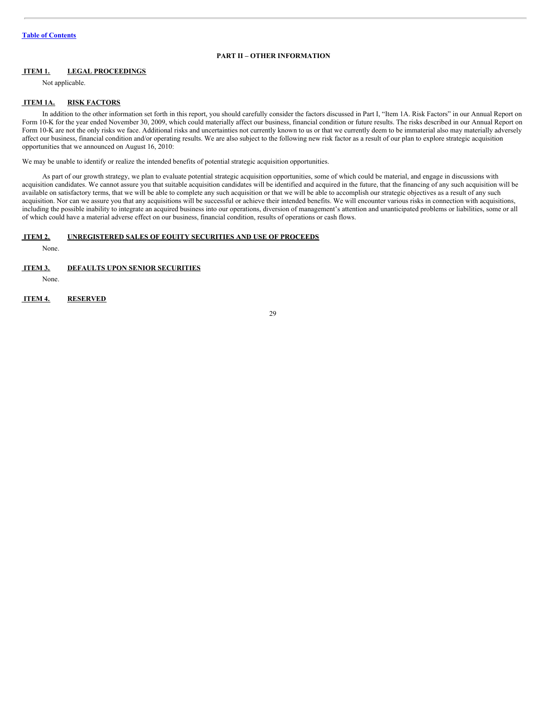# <span id="page-31-0"></span>**PART II – OTHER INFORMATION**

# <span id="page-31-1"></span>**ITEM 1. LEGAL PROCEEDINGS**

Not applicable.

#### <span id="page-31-2"></span>**ITEM 1A. RISK FACTORS**

In addition to the other information set forth in this report, you should carefully consider the factors discussed in Part I, "Item 1A. Risk Factors" in our Annual Report on Form 10-K for the year ended November 30, 2009, which could materially affect our business, financial condition or future results. The risks described in our Annual Report on Form 10-K are not the only risks we face. Additional risks and uncertainties not currently known to us or that we currently deem to be immaterial also may materially adversely affect our business, financial condition and/or operating results. We are also subject to the following new risk factor as a result of our plan to explore strategic acquisition opportunities that we announced on August 16, 2010:

We may be unable to identify or realize the intended benefits of potential strategic acquisition opportunities.

As part of our growth strategy, we plan to evaluate potential strategic acquisition opportunities, some of which could be material, and engage in discussions with acquisition candidates. We cannot assure you that suitable acquisition candidates will be identified and acquired in the future, that the financing of any such acquisition will be available on satisfactory terms, that we will be able to complete any such acquisition or that we will be able to accomplish our strategic objectives as a result of any such acquisition. Nor can we assure you that any acquisitions will be successful or achieve their intended benefits. We will encounter various risks in connection with acquisitions, including the possible inability to integrate an acquired business into our operations, diversion of management's attention and unanticipated problems or liabilities, some or all of which could have a material adverse effect on our business, financial condition, results of operations or cash flows.

# <span id="page-31-3"></span>**ITEM 2. UNREGISTERED SALES OF EQUITY SECURITIES AND USE OF PROCEEDS**

None.

# <span id="page-31-4"></span>**ITEM 3. DEFAULTS UPON SENIOR SECURITIES**

None.

<span id="page-31-5"></span>**ITEM 4. RESERVED**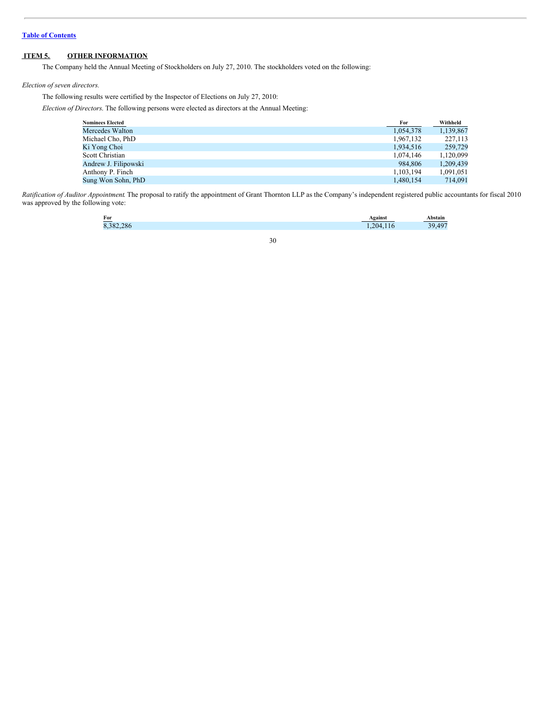# <span id="page-32-0"></span>**ITEM 5. OTHER INFORMATION**

The Company held the Annual Meeting of Stockholders on July 27, 2010. The stockholders voted on the following:

*Election of seven directors.*

The following results were certified by the Inspector of Elections on July 27, 2010:

*Election of Directors*. The following persons were elected as directors at the Annual Meeting:

| <b>Nominees Elected</b> | For       | Withheld  |
|-------------------------|-----------|-----------|
| Mercedes Walton         | 1,054,378 | 1,139,867 |
| Michael Cho, PhD        | 1,967,132 | 227,113   |
| Ki Yong Choi            | 1,934,516 | 259,729   |
| Scott Christian         | 1.074.146 | 1.120.099 |
| Andrew J. Filipowski    | 984,806   | 1,209,439 |
| Anthony P. Finch        | 1,103,194 | 1,091,051 |
| Sung Won Sohn, PhD      | 1,480,154 | 714,091   |

*Ratification of Auditor Appointment*. The proposal to ratify the appointment of Grant Thornton LLP as the Company's independent registered public accountants for fiscal 2010 was approved by the following vote:

| $For$                                   | <b>\gainst</b> | Abstain<br><u> The Communication of the Communication of</u> |
|-----------------------------------------|----------------|--------------------------------------------------------------|
| 382<br>.286<br>$\overline{\phantom{a}}$ | 204<br>16      | 107<br>30<br>$\sim$                                          |
|                                         |                |                                                              |

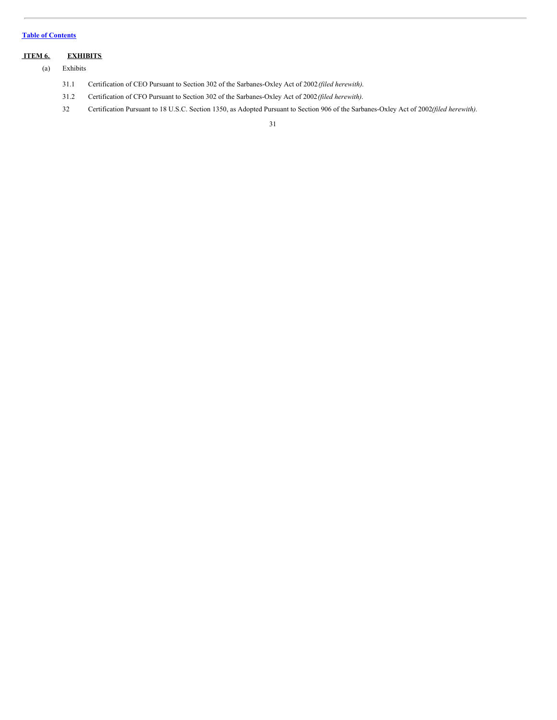# <span id="page-33-0"></span>**ITEM 6. EXHIBITS**

(a) Exhibits

- 31.1 Certification of CEO Pursuant to Section 302 of the Sarbanes-Oxley Act of 2002*(filed herewith)*.
- 31.2 Certification of CFO Pursuant to Section 302 of the Sarbanes-Oxley Act of 2002*(filed herewith)*.
- 32 Certification Pursuant to 18 U.S.C. Section 1350, as Adopted Pursuant to Section 906 of the Sarbanes-Oxley Act of 2002*(filed herewith)*.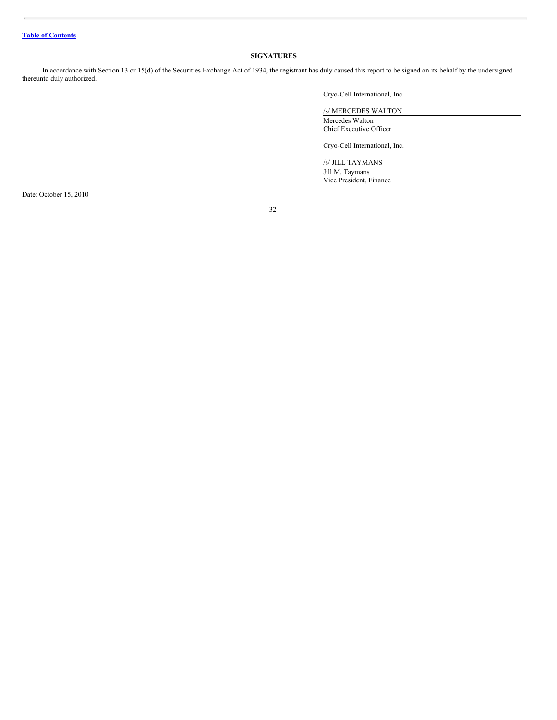# <span id="page-34-0"></span>**SIGNATURES**

In accordance with Section 13 or 15(d) of the Securities Exchange Act of 1934, the registrant has duly caused this report to be signed on its behalf by the undersigned thereunto duly authorized.

Cryo-Cell International, Inc.

/s/ MERCEDES WALTON

Mercedes Walton Chief Executive Officer

Cryo-Cell International, Inc.

/s/ JILL TAYMANS

Jill M. Taymans Vice President, Finance

Date: October 15, 2010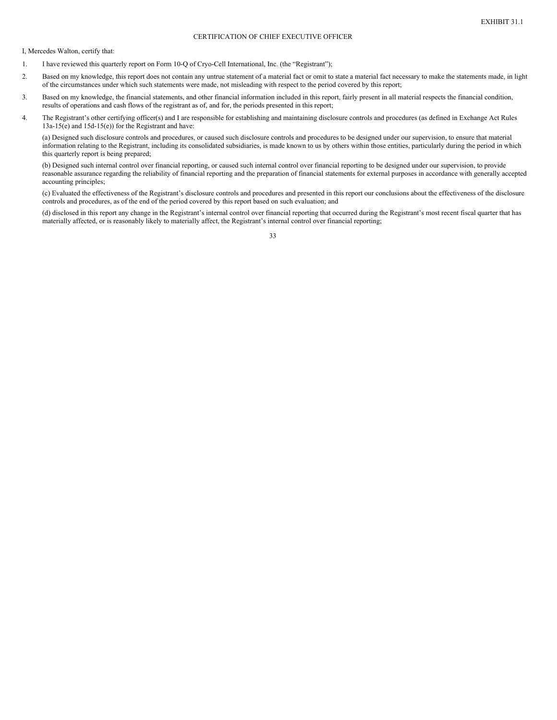# CERTIFICATION OF CHIEF EXECUTIVE OFFICER

I, Mercedes Walton, certify that:

- 1. I have reviewed this quarterly report on Form 10-Q of Cryo-Cell International, Inc. (the "Registrant");
- 2. Based on my knowledge, this report does not contain any untrue statement of a material fact or omit to state a material fact necessary to make the statements made, in light of the circumstances under which such statements were made, not misleading with respect to the period covered by this report;
- 3. Based on my knowledge, the financial statements, and other financial information included in this report, fairly present in all material respects the financial condition, results of operations and cash flows of the registrant as of, and for, the periods presented in this report;
- 4. The Registrant's other certifying officer(s) and I are responsible for establishing and maintaining disclosure controls and procedures (as defined in Exchange Act Rules 13a-15(e) and 15d-15(e)) for the Registrant and have:

(a) Designed such disclosure controls and procedures, or caused such disclosure controls and procedures to be designed under our supervision, to ensure that material information relating to the Registrant, including its consolidated subsidiaries, is made known to us by others within those entities, particularly during the period in which this quarterly report is being prepared;

(b) Designed such internal control over financial reporting, or caused such internal control over financial reporting to be designed under our supervision, to provide reasonable assurance regarding the reliability of financial reporting and the preparation of financial statements for external purposes in accordance with generally accepted accounting principles;

(c) Evaluated the effectiveness of the Registrant's disclosure controls and procedures and presented in this report our conclusions about the effectiveness of the disclosure controls and procedures, as of the end of the period covered by this report based on such evaluation; and

(d) disclosed in this report any change in the Registrant's internal control over financial reporting that occurred during the Registrant's most recent fiscal quarter that has materially affected, or is reasonably likely to materially affect, the Registrant's internal control over financial reporting;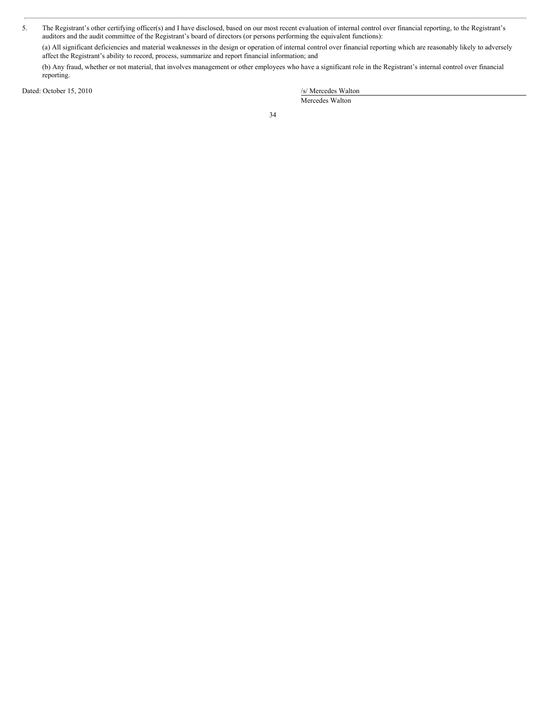5. The Registrant's other certifying officer(s) and I have disclosed, based on our most recent evaluation of internal control over financial reporting, to the Registrant's auditors and the audit committee of the Registrant's board of directors (or persons performing the equivalent functions):

(a) All significant deficiencies and material weaknesses in the design or operation of internal control over financial reporting which are reasonably likely to adversely affect the Registrant's ability to record, process, summarize and report financial information; and

(b) Any fraud, whether or not material, that involves management or other employees who have a significant role in the Registrant's internal control over financial reporting.

Dated: October 15, 2010

| /s/ Mercedes Walton |  |
|---------------------|--|
| Mercedes Walton     |  |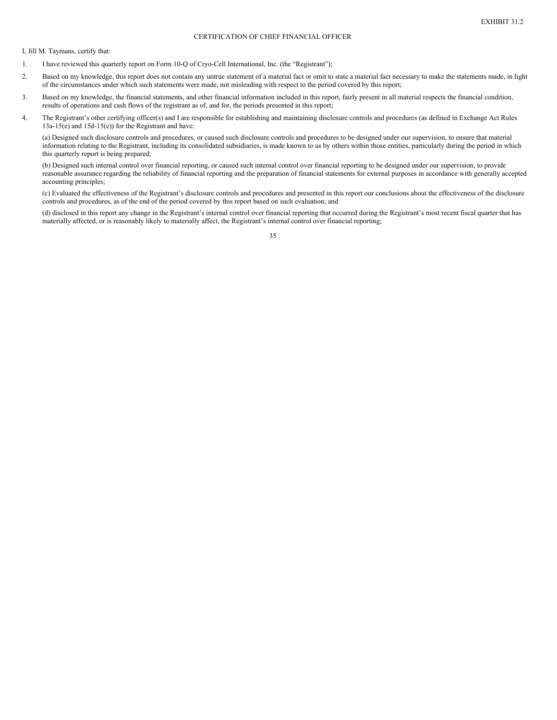# CERTIFICATION OF CHIEF FINANCIAL OFFICER

I, Jill M. Taymans, certify that:

- 1. I have reviewed this quarterly report on Form 10-Q of Cryo-Cell International, Inc. (the "Registrant");
- 2. Based on my knowledge, this report does not contain any untrue statement of a material fact or omit to state a material fact necessary to make the statements made, in light of the circumstances under which such statements were made, not misleading with respect to the period covered by this report;
- 3. Based on my knowledge, the financial statements, and other financial information included in this report, fairly present in all material respects the financial condition, results of operations and cash flows of the registrant as of, and for, the periods presented in this report;
- 4. The Registrant's other certifying officer(s) and I are responsible for establishing and maintaining disclosure controls and procedures (as defined in Exchange Act Rules 13a-15(e) and 15d-15(e)) for the Registrant and have:

(a) Designed such disclosure controls and procedures, or caused such disclosure controls and procedures to be designed under our supervision, to ensure that material information relating to the Registrant, including its consolidated subsidiaries, is made known to us by others within those entities, particularly during the period in which this quarterly report is being prepared;

(b) Designed such internal control over financial reporting, or caused such internal control over financial reporting to be designed under our supervision, to provide reasonable assurance regarding the reliability of financial reporting and the preparation of financial statements for external purposes in accordance with generally accepted accounting principles;

(c) Evaluated the effectiveness of the Registrant's disclosure controls and procedures and presented in this report our conclusions about the effectiveness of the disclosure controls and procedures, as of the end of the period covered by this report based on such evaluation; and

(d) disclosed in this report any change in the Registrant's internal control over financial reporting that occurred during the Registrant's most recent fiscal quarter that has materially affected, or is reasonably likely to materially affect, the Registrant's internal control over financial reporting;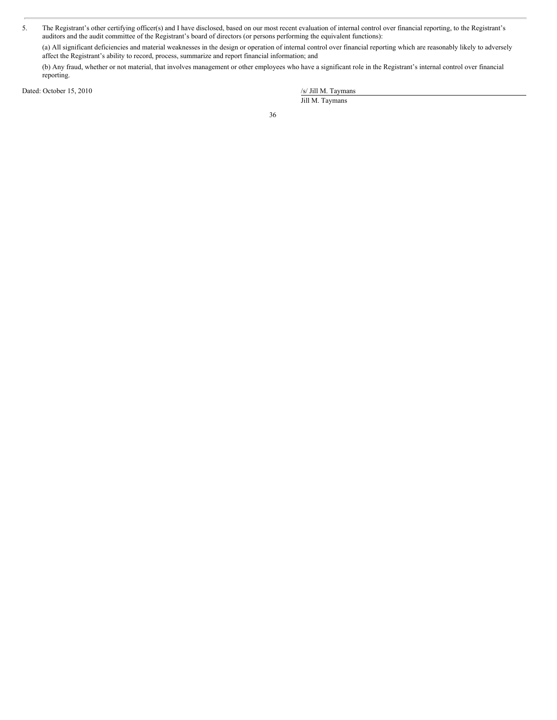5. The Registrant's other certifying officer(s) and I have disclosed, based on our most recent evaluation of internal control over financial reporting, to the Registrant's auditors and the audit committee of the Registrant's board of directors (or persons performing the equivalent functions):

(a) All significant deficiencies and material weaknesses in the design or operation of internal control over financial reporting which are reasonably likely to adversely affect the Registrant's ability to record, process, summarize and report financial information; and

(b) Any fraud, whether or not material, that involves management or other employees who have a significant role in the Registrant's internal control over financial reporting.

Dated: October 15, 2010 /s/ Jill M. Taymans

Jill M. Taymans